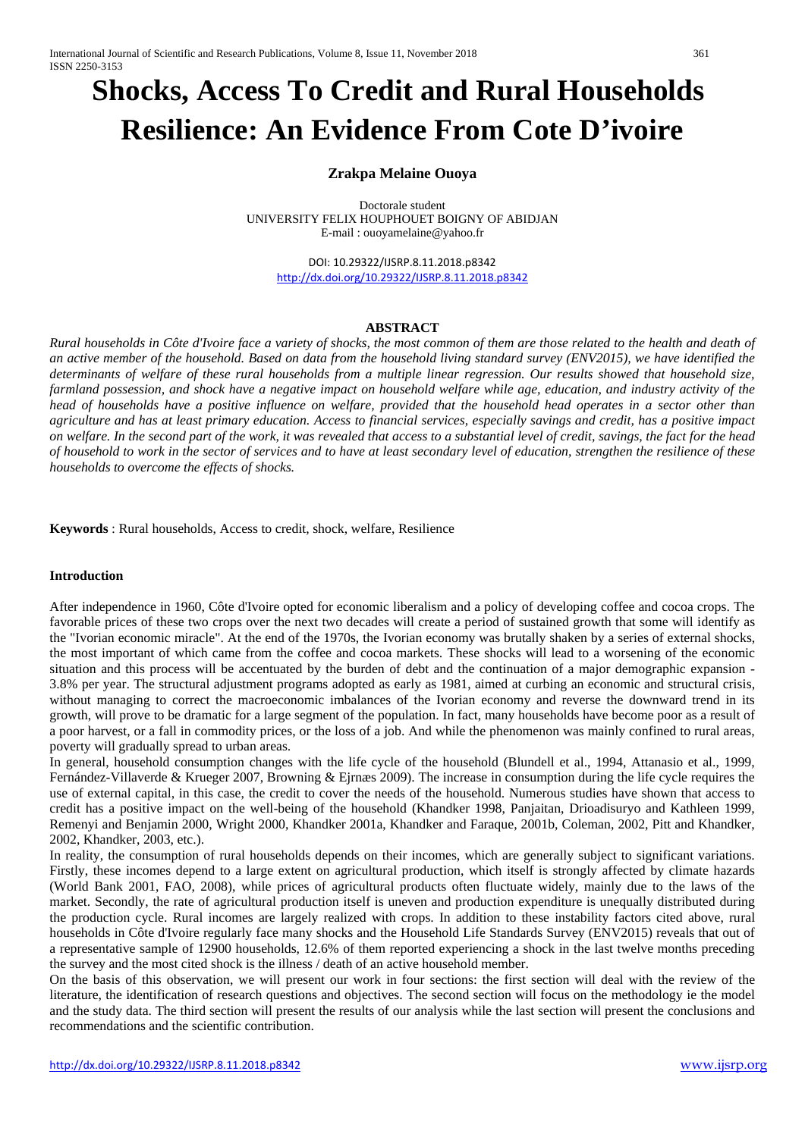# **Shocks, Access To Credit and Rural Households Resilience: An Evidence From Cote D'ivoire**

# **Zrakpa Melaine Ouoya**

Doctorale student UNIVERSITY FELIX HOUPHOUET BOIGNY OF ABIDJAN E-mail : ouoyamelaine@yahoo.fr

DOI: 10.29322/IJSRP.8.11.2018.p8342 <http://dx.doi.org/10.29322/IJSRP.8.11.2018.p8342>

#### **ABSTRACT**

*Rural households in Côte d'Ivoire face a variety of shocks, the most common of them are those related to the health and death of an active member of the household. Based on data from the household living standard survey (ENV2015), we have identified the determinants of welfare of these rural households from a multiple linear regression. Our results showed that household size, farmland possession, and shock have a negative impact on household welfare while age, education, and industry activity of the head of households have a positive influence on welfare, provided that the household head operates in a sector other than agriculture and has at least primary education. Access to financial services, especially savings and credit, has a positive impact on welfare. In the second part of the work, it was revealed that access to a substantial level of credit, savings, the fact for the head of household to work in the sector of services and to have at least secondary level of education, strengthen the resilience of these households to overcome the effects of shocks.*

**Keywords** : Rural households, Access to credit, shock, welfare, Resilience

#### **Introduction**

After independence in 1960, Côte d'Ivoire opted for economic liberalism and a policy of developing coffee and cocoa crops. The favorable prices of these two crops over the next two decades will create a period of sustained growth that some will identify as the "Ivorian economic miracle". At the end of the 1970s, the Ivorian economy was brutally shaken by a series of external shocks, the most important of which came from the coffee and cocoa markets. These shocks will lead to a worsening of the economic situation and this process will be accentuated by the burden of debt and the continuation of a major demographic expansion - 3.8% per year. The structural adjustment programs adopted as early as 1981, aimed at curbing an economic and structural crisis, without managing to correct the macroeconomic imbalances of the Ivorian economy and reverse the downward trend in its growth, will prove to be dramatic for a large segment of the population. In fact, many households have become poor as a result of a poor harvest, or a fall in commodity prices, or the loss of a job. And while the phenomenon was mainly confined to rural areas, poverty will gradually spread to urban areas.

In general, household consumption changes with the life cycle of the household (Blundell et al., 1994, Attanasio et al., 1999, Fernández-Villaverde & Krueger 2007, Browning & Ejrnæs 2009). The increase in consumption during the life cycle requires the use of external capital, in this case, the credit to cover the needs of the household. Numerous studies have shown that access to credit has a positive impact on the well-being of the household (Khandker 1998, Panjaitan, Drioadisuryo and Kathleen 1999, Remenyi and Benjamin 2000, Wright 2000, Khandker 2001a, Khandker and Faraque, 2001b, Coleman, 2002, Pitt and Khandker, 2002, Khandker, 2003, etc.).

In reality, the consumption of rural households depends on their incomes, which are generally subject to significant variations. Firstly, these incomes depend to a large extent on agricultural production, which itself is strongly affected by climate hazards (World Bank 2001, FAO, 2008), while prices of agricultural products often fluctuate widely, mainly due to the laws of the market. Secondly, the rate of agricultural production itself is uneven and production expenditure is unequally distributed during the production cycle. Rural incomes are largely realized with crops. In addition to these instability factors cited above, rural households in Côte d'Ivoire regularly face many shocks and the Household Life Standards Survey (ENV2015) reveals that out of a representative sample of 12900 households, 12.6% of them reported experiencing a shock in the last twelve months preceding the survey and the most cited shock is the illness / death of an active household member.

On the basis of this observation, we will present our work in four sections: the first section will deal with the review of the literature, the identification of research questions and objectives. The second section will focus on the methodology ie the model and the study data. The third section will present the results of our analysis while the last section will present the conclusions and recommendations and the scientific contribution.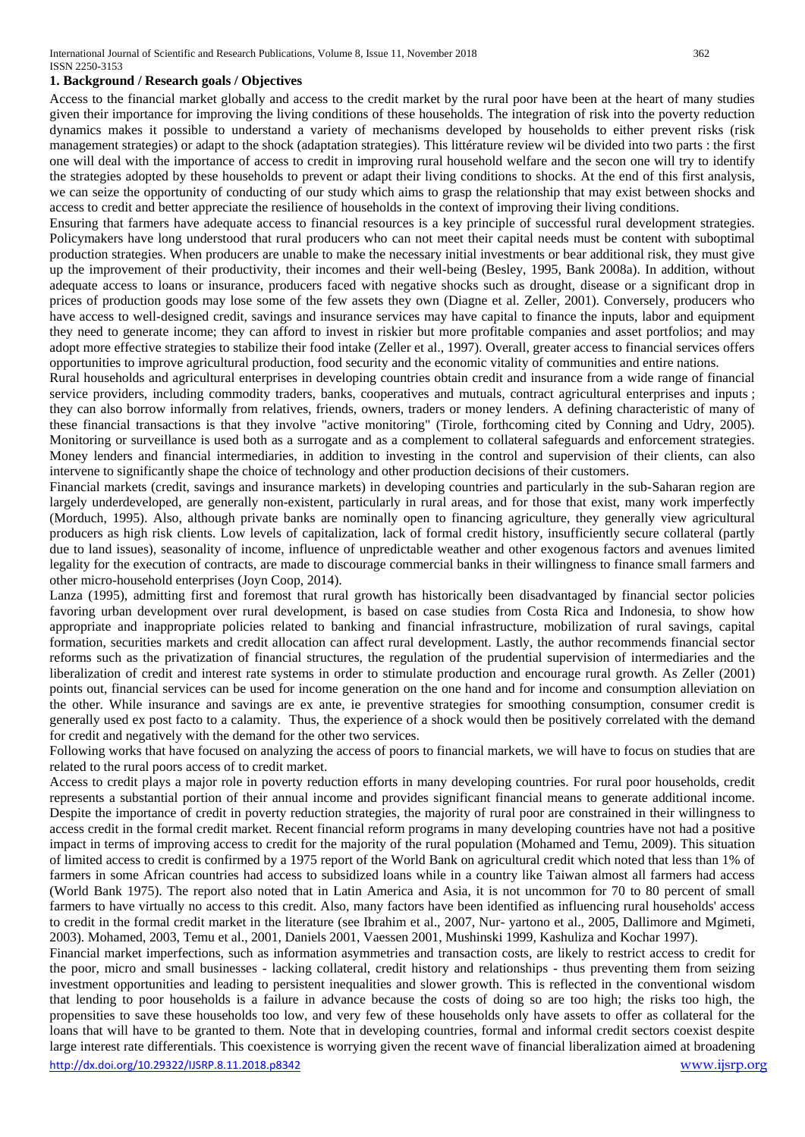#### **1. Background / Research goals / Objectives**

Access to the financial market globally and access to the credit market by the rural poor have been at the heart of many studies given their importance for improving the living conditions of these households. The integration of risk into the poverty reduction dynamics makes it possible to understand a variety of mechanisms developed by households to either prevent risks (risk management strategies) or adapt to the shock (adaptation strategies). This littérature review wil be divided into two parts : the first one will deal with the importance of access to credit in improving rural household welfare and the secon one will try to identify the strategies adopted by these households to prevent or adapt their living conditions to shocks. At the end of this first analysis, we can seize the opportunity of conducting of our study which aims to grasp the relationship that may exist between shocks and access to credit and better appreciate the resilience of households in the context of improving their living conditions.

Ensuring that farmers have adequate access to financial resources is a key principle of successful rural development strategies. Policymakers have long understood that rural producers who can not meet their capital needs must be content with suboptimal production strategies. When producers are unable to make the necessary initial investments or bear additional risk, they must give up the improvement of their productivity, their incomes and their well-being (Besley, 1995, Bank 2008a). In addition, without adequate access to loans or insurance, producers faced with negative shocks such as drought, disease or a significant drop in prices of production goods may lose some of the few assets they own (Diagne et al. Zeller, 2001). Conversely, producers who have access to well-designed credit, savings and insurance services may have capital to finance the inputs, labor and equipment they need to generate income; they can afford to invest in riskier but more profitable companies and asset portfolios; and may adopt more effective strategies to stabilize their food intake (Zeller et al., 1997). Overall, greater access to financial services offers opportunities to improve agricultural production, food security and the economic vitality of communities and entire nations.

Rural households and agricultural enterprises in developing countries obtain credit and insurance from a wide range of financial service providers, including commodity traders, banks, cooperatives and mutuals, contract agricultural enterprises and inputs ; they can also borrow informally from relatives, friends, owners, traders or money lenders. A defining characteristic of many of these financial transactions is that they involve "active monitoring" (Tirole, forthcoming cited by Conning and Udry, 2005). Monitoring or surveillance is used both as a surrogate and as a complement to collateral safeguards and enforcement strategies. Money lenders and financial intermediaries, in addition to investing in the control and supervision of their clients, can also intervene to significantly shape the choice of technology and other production decisions of their customers.

Financial markets (credit, savings and insurance markets) in developing countries and particularly in the sub-Saharan region are largely underdeveloped, are generally non-existent, particularly in rural areas, and for those that exist, many work imperfectly (Morduch, 1995). Also, although private banks are nominally open to financing agriculture, they generally view agricultural producers as high risk clients. Low levels of capitalization, lack of formal credit history, insufficiently secure collateral (partly due to land issues), seasonality of income, influence of unpredictable weather and other exogenous factors and avenues limited legality for the execution of contracts, are made to discourage commercial banks in their willingness to finance small farmers and other micro-household enterprises (Joyn Coop, 2014).

Lanza (1995), admitting first and foremost that rural growth has historically been disadvantaged by financial sector policies favoring urban development over rural development, is based on case studies from Costa Rica and Indonesia, to show how appropriate and inappropriate policies related to banking and financial infrastructure, mobilization of rural savings, capital formation, securities markets and credit allocation can affect rural development. Lastly, the author recommends financial sector reforms such as the privatization of financial structures, the regulation of the prudential supervision of intermediaries and the liberalization of credit and interest rate systems in order to stimulate production and encourage rural growth. As Zeller (2001) points out, financial services can be used for income generation on the one hand and for income and consumption alleviation on the other. While insurance and savings are ex ante, ie preventive strategies for smoothing consumption, consumer credit is generally used ex post facto to a calamity. Thus, the experience of a shock would then be positively correlated with the demand for credit and negatively with the demand for the other two services.

Following works that have focused on analyzing the access of poors to financial markets, we will have to focus on studies that are related to the rural poors access of to credit market.

Access to credit plays a major role in poverty reduction efforts in many developing countries. For rural poor households, credit represents a substantial portion of their annual income and provides significant financial means to generate additional income. Despite the importance of credit in poverty reduction strategies, the majority of rural poor are constrained in their willingness to access credit in the formal credit market. Recent financial reform programs in many developing countries have not had a positive impact in terms of improving access to credit for the majority of the rural population (Mohamed and Temu, 2009). This situation of limited access to credit is confirmed by a 1975 report of the World Bank on agricultural credit which noted that less than 1% of farmers in some African countries had access to subsidized loans while in a country like Taiwan almost all farmers had access (World Bank 1975). The report also noted that in Latin America and Asia, it is not uncommon for 70 to 80 percent of small farmers to have virtually no access to this credit. Also, many factors have been identified as influencing rural households' access to credit in the formal credit market in the literature (see Ibrahim et al., 2007, Nur- yartono et al., 2005, Dallimore and Mgimeti, 2003). Mohamed, 2003, Temu et al., 2001, Daniels 2001, Vaessen 2001, Mushinski 1999, Kashuliza and Kochar 1997).

<http://dx.doi.org/10.29322/IJSRP.8.11.2018.p8342> [www.ijsrp.org](http://ijsrp.org/) Financial market imperfections, such as information asymmetries and transaction costs, are likely to restrict access to credit for the poor, micro and small businesses - lacking collateral, credit history and relationships - thus preventing them from seizing investment opportunities and leading to persistent inequalities and slower growth. This is reflected in the conventional wisdom that lending to poor households is a failure in advance because the costs of doing so are too high; the risks too high, the propensities to save these households too low, and very few of these households only have assets to offer as collateral for the loans that will have to be granted to them. Note that in developing countries, formal and informal credit sectors coexist despite large interest rate differentials. This coexistence is worrying given the recent wave of financial liberalization aimed at broadening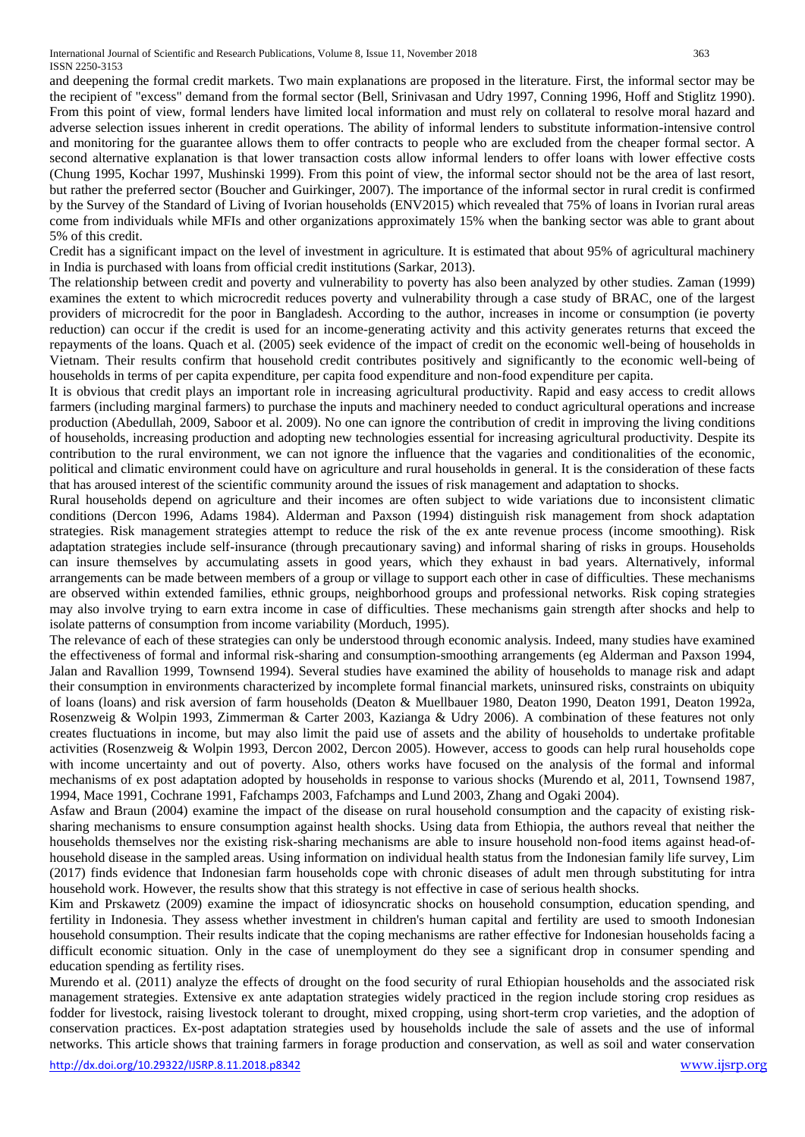and deepening the formal credit markets. Two main explanations are proposed in the literature. First, the informal sector may be the recipient of "excess" demand from the formal sector (Bell, Srinivasan and Udry 1997, Conning 1996, Hoff and Stiglitz 1990). From this point of view, formal lenders have limited local information and must rely on collateral to resolve moral hazard and adverse selection issues inherent in credit operations. The ability of informal lenders to substitute information-intensive control and monitoring for the guarantee allows them to offer contracts to people who are excluded from the cheaper formal sector. A second alternative explanation is that lower transaction costs allow informal lenders to offer loans with lower effective costs (Chung 1995, Kochar 1997, Mushinski 1999). From this point of view, the informal sector should not be the area of last resort, but rather the preferred sector (Boucher and Guirkinger, 2007). The importance of the informal sector in rural credit is confirmed by the Survey of the Standard of Living of Ivorian households (ENV2015) which revealed that 75% of loans in Ivorian rural areas come from individuals while MFIs and other organizations approximately 15% when the banking sector was able to grant about 5% of this credit.

Credit has a significant impact on the level of investment in agriculture. It is estimated that about 95% of agricultural machinery in India is purchased with loans from official credit institutions (Sarkar, 2013).

The relationship between credit and poverty and vulnerability to poverty has also been analyzed by other studies. Zaman (1999) examines the extent to which microcredit reduces poverty and vulnerability through a case study of BRAC, one of the largest providers of microcredit for the poor in Bangladesh. According to the author, increases in income or consumption (ie poverty reduction) can occur if the credit is used for an income-generating activity and this activity generates returns that exceed the repayments of the loans. Quach et al. (2005) seek evidence of the impact of credit on the economic well-being of households in Vietnam. Their results confirm that household credit contributes positively and significantly to the economic well-being of households in terms of per capita expenditure, per capita food expenditure and non-food expenditure per capita.

It is obvious that credit plays an important role in increasing agricultural productivity. Rapid and easy access to credit allows farmers (including marginal farmers) to purchase the inputs and machinery needed to conduct agricultural operations and increase production (Abedullah, 2009, Saboor et al. 2009). No one can ignore the contribution of credit in improving the living conditions of households, increasing production and adopting new technologies essential for increasing agricultural productivity. Despite its contribution to the rural environment, we can not ignore the influence that the vagaries and conditionalities of the economic, political and climatic environment could have on agriculture and rural households in general. It is the consideration of these facts that has aroused interest of the scientific community around the issues of risk management and adaptation to shocks.

Rural households depend on agriculture and their incomes are often subject to wide variations due to inconsistent climatic conditions (Dercon 1996, Adams 1984). Alderman and Paxson (1994) distinguish risk management from shock adaptation strategies. Risk management strategies attempt to reduce the risk of the ex ante revenue process (income smoothing). Risk adaptation strategies include self-insurance (through precautionary saving) and informal sharing of risks in groups. Households can insure themselves by accumulating assets in good years, which they exhaust in bad years. Alternatively, informal arrangements can be made between members of a group or village to support each other in case of difficulties. These mechanisms are observed within extended families, ethnic groups, neighborhood groups and professional networks. Risk coping strategies may also involve trying to earn extra income in case of difficulties. These mechanisms gain strength after shocks and help to isolate patterns of consumption from income variability (Morduch, 1995).

The relevance of each of these strategies can only be understood through economic analysis. Indeed, many studies have examined the effectiveness of formal and informal risk-sharing and consumption-smoothing arrangements (eg Alderman and Paxson 1994, Jalan and Ravallion 1999, Townsend 1994). Several studies have examined the ability of households to manage risk and adapt their consumption in environments characterized by incomplete formal financial markets, uninsured risks, constraints on ubiquity of loans (loans) and risk aversion of farm households (Deaton & Muellbauer 1980, Deaton 1990, Deaton 1991, Deaton 1992a, Rosenzweig & Wolpin 1993, Zimmerman & Carter 2003, Kazianga & Udry 2006). A combination of these features not only creates fluctuations in income, but may also limit the paid use of assets and the ability of households to undertake profitable activities (Rosenzweig & Wolpin 1993, Dercon 2002, Dercon 2005). However, access to goods can help rural households cope with income uncertainty and out of poverty. Also, others works have focused on the analysis of the formal and informal mechanisms of ex post adaptation adopted by households in response to various shocks (Murendo et al, 2011, Townsend 1987, 1994, Mace 1991, Cochrane 1991, Fafchamps 2003, Fafchamps and Lund 2003, Zhang and Ogaki 2004).

Asfaw and Braun (2004) examine the impact of the disease on rural household consumption and the capacity of existing risksharing mechanisms to ensure consumption against health shocks. Using data from Ethiopia, the authors reveal that neither the households themselves nor the existing risk-sharing mechanisms are able to insure household non-food items against head-ofhousehold disease in the sampled areas. Using information on individual health status from the Indonesian family life survey, Lim (2017) finds evidence that Indonesian farm households cope with chronic diseases of adult men through substituting for intra household work. However, the results show that this strategy is not effective in case of serious health shocks.

Kim and Prskawetz (2009) examine the impact of idiosyncratic shocks on household consumption, education spending, and fertility in Indonesia. They assess whether investment in children's human capital and fertility are used to smooth Indonesian household consumption. Their results indicate that the coping mechanisms are rather effective for Indonesian households facing a difficult economic situation. Only in the case of unemployment do they see a significant drop in consumer spending and education spending as fertility rises.

Murendo et al. (2011) analyze the effects of drought on the food security of rural Ethiopian households and the associated risk management strategies. Extensive ex ante adaptation strategies widely practiced in the region include storing crop residues as fodder for livestock, raising livestock tolerant to drought, mixed cropping, using short-term crop varieties, and the adoption of conservation practices. Ex-post adaptation strategies used by households include the sale of assets and the use of informal networks. This article shows that training farmers in forage production and conservation, as well as soil and water conservation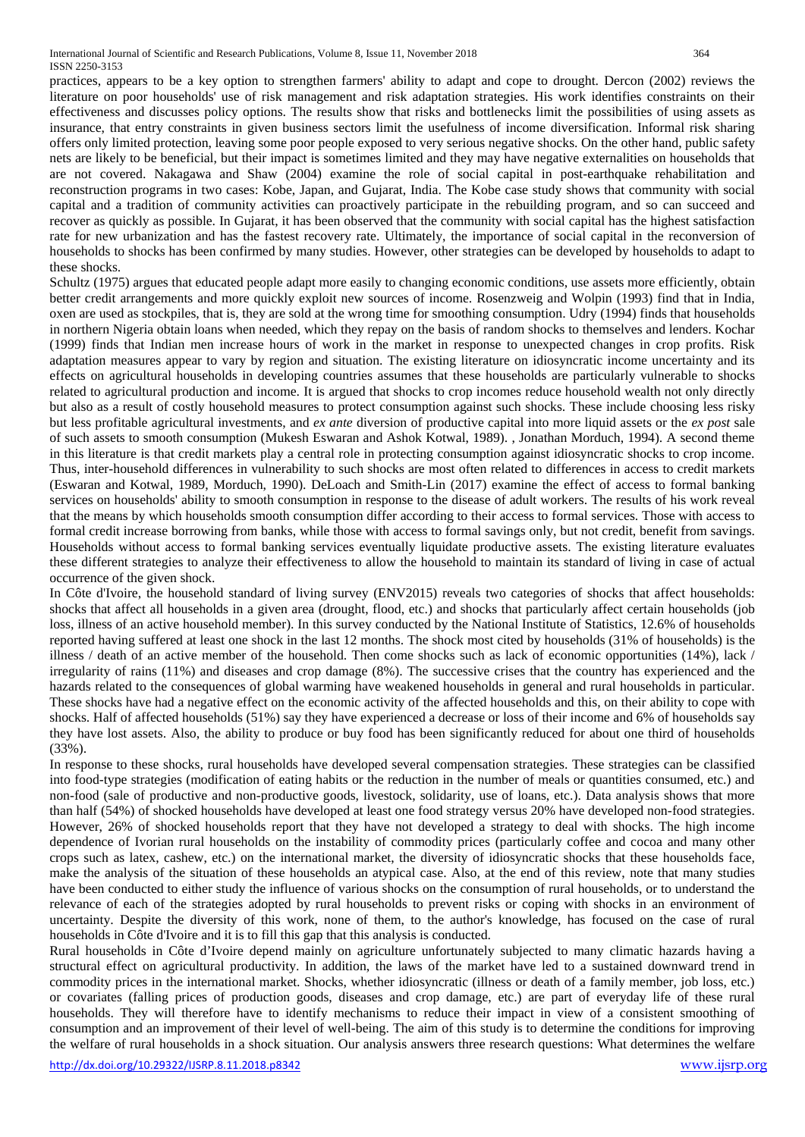practices, appears to be a key option to strengthen farmers' ability to adapt and cope to drought. Dercon (2002) reviews the literature on poor households' use of risk management and risk adaptation strategies. His work identifies constraints on their effectiveness and discusses policy options. The results show that risks and bottlenecks limit the possibilities of using assets as insurance, that entry constraints in given business sectors limit the usefulness of income diversification. Informal risk sharing offers only limited protection, leaving some poor people exposed to very serious negative shocks. On the other hand, public safety nets are likely to be beneficial, but their impact is sometimes limited and they may have negative externalities on households that are not covered. Nakagawa and Shaw (2004) examine the role of social capital in post-earthquake rehabilitation and reconstruction programs in two cases: Kobe, Japan, and Gujarat, India. The Kobe case study shows that community with social capital and a tradition of community activities can proactively participate in the rebuilding program, and so can succeed and recover as quickly as possible. In Gujarat, it has been observed that the community with social capital has the highest satisfaction rate for new urbanization and has the fastest recovery rate. Ultimately, the importance of social capital in the reconversion of households to shocks has been confirmed by many studies. However, other strategies can be developed by households to adapt to these shocks.

Schultz (1975) argues that educated people adapt more easily to changing economic conditions, use assets more efficiently, obtain better credit arrangements and more quickly exploit new sources of income. Rosenzweig and Wolpin (1993) find that in India, oxen are used as stockpiles, that is, they are sold at the wrong time for smoothing consumption. Udry (1994) finds that households in northern Nigeria obtain loans when needed, which they repay on the basis of random shocks to themselves and lenders. Kochar (1999) finds that Indian men increase hours of work in the market in response to unexpected changes in crop profits. Risk adaptation measures appear to vary by region and situation. The existing literature on idiosyncratic income uncertainty and its effects on agricultural households in developing countries assumes that these households are particularly vulnerable to shocks related to agricultural production and income. It is argued that shocks to crop incomes reduce household wealth not only directly but also as a result of costly household measures to protect consumption against such shocks. These include choosing less risky but less profitable agricultural investments, and *ex ante* diversion of productive capital into more liquid assets or the *ex post* sale of such assets to smooth consumption (Mukesh Eswaran and Ashok Kotwal, 1989). , Jonathan Morduch, 1994). A second theme in this literature is that credit markets play a central role in protecting consumption against idiosyncratic shocks to crop income. Thus, inter-household differences in vulnerability to such shocks are most often related to differences in access to credit markets (Eswaran and Kotwal, 1989, Morduch, 1990). DeLoach and Smith-Lin (2017) examine the effect of access to formal banking services on households' ability to smooth consumption in response to the disease of adult workers. The results of his work reveal that the means by which households smooth consumption differ according to their access to formal services. Those with access to formal credit increase borrowing from banks, while those with access to formal savings only, but not credit, benefit from savings. Households without access to formal banking services eventually liquidate productive assets. The existing literature evaluates these different strategies to analyze their effectiveness to allow the household to maintain its standard of living in case of actual occurrence of the given shock.

In Côte d'Ivoire, the household standard of living survey (ENV2015) reveals two categories of shocks that affect households: shocks that affect all households in a given area (drought, flood, etc.) and shocks that particularly affect certain households (job loss, illness of an active household member). In this survey conducted by the National Institute of Statistics, 12.6% of households reported having suffered at least one shock in the last 12 months. The shock most cited by households (31% of households) is the illness / death of an active member of the household. Then come shocks such as lack of economic opportunities (14%), lack / irregularity of rains (11%) and diseases and crop damage (8%). The successive crises that the country has experienced and the hazards related to the consequences of global warming have weakened households in general and rural households in particular. These shocks have had a negative effect on the economic activity of the affected households and this, on their ability to cope with shocks. Half of affected households (51%) say they have experienced a decrease or loss of their income and 6% of households say they have lost assets. Also, the ability to produce or buy food has been significantly reduced for about one third of households (33%).

In response to these shocks, rural households have developed several compensation strategies. These strategies can be classified into food-type strategies (modification of eating habits or the reduction in the number of meals or quantities consumed, etc.) and non-food (sale of productive and non-productive goods, livestock, solidarity, use of loans, etc.). Data analysis shows that more than half (54%) of shocked households have developed at least one food strategy versus 20% have developed non-food strategies. However, 26% of shocked households report that they have not developed a strategy to deal with shocks. The high income dependence of Ivorian rural households on the instability of commodity prices (particularly coffee and cocoa and many other crops such as latex, cashew, etc.) on the international market, the diversity of idiosyncratic shocks that these households face, make the analysis of the situation of these households an atypical case. Also, at the end of this review, note that many studies have been conducted to either study the influence of various shocks on the consumption of rural households, or to understand the relevance of each of the strategies adopted by rural households to prevent risks or coping with shocks in an environment of uncertainty. Despite the diversity of this work, none of them, to the author's knowledge, has focused on the case of rural households in Côte d'Ivoire and it is to fill this gap that this analysis is conducted.

Rural households in Côte d'Ivoire depend mainly on agriculture unfortunately subjected to many climatic hazards having a structural effect on agricultural productivity. In addition, the laws of the market have led to a sustained downward trend in commodity prices in the international market. Shocks, whether idiosyncratic (illness or death of a family member, job loss, etc.) or covariates (falling prices of production goods, diseases and crop damage, etc.) are part of everyday life of these rural households. They will therefore have to identify mechanisms to reduce their impact in view of a consistent smoothing of consumption and an improvement of their level of well-being. The aim of this study is to determine the conditions for improving the welfare of rural households in a shock situation. Our analysis answers three research questions: What determines the welfare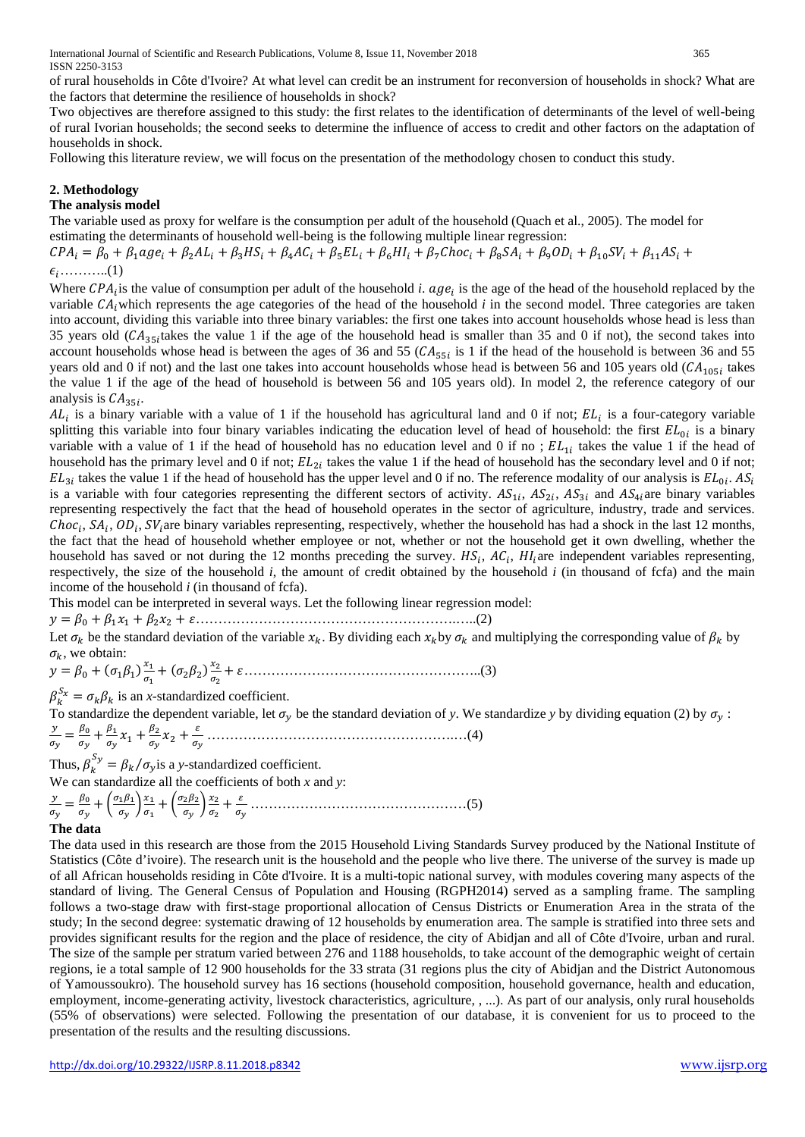of rural households in Côte d'Ivoire? At what level can credit be an instrument for reconversion of households in shock? What are the factors that determine the resilience of households in shock?

Two objectives are therefore assigned to this study: the first relates to the identification of determinants of the level of well-being of rural Ivorian households; the second seeks to determine the influence of access to credit and other factors on the adaptation of households in shock.

Following this literature review, we will focus on the presentation of the methodology chosen to conduct this study.

# **2. Methodology**

#### **The analysis model**

The variable used as proxy for welfare is the consumption per adult of the household (Quach et al., 2005). The model for estimating the determinants of household well-being is the following multiple linear regression:

 $CPA_i = \beta_0 + \beta_1 age_i + \beta_2 AL_i + \beta_3 HS_i + \beta_4 AC_i + \beta_5 EL_i + \beta_6 HI_i + \beta_7 Choc_i + \beta_8 SA_i + \beta_9 OD_i + \beta_{10} SV_i + \beta_{11} AS_i +$ ………..(1)

Where  $CPA<sub>i</sub>$  is the value of consumption per adult of the household *i*.  $age<sub>i</sub>$  is the age of the head of the household replaced by the variable  $CA<sub>i</sub>$  which represents the age categories of the head of the household *i* in the second model. Three categories are taken into account, dividing this variable into three binary variables: the first one takes into account households whose head is less than 35 years old ( $CA_{35}$  takes the value 1 if the age of the household head is smaller than 35 and 0 if not), the second takes into account households whose head is between the ages of 36 and 55  $(CA_{55i}$  is 1 if the head of the household is between 36 and 55 years old and 0 if not) and the last one takes into account households whose head is between 56 and 105 years old  $(CA<sub>105j</sub>$  takes the value 1 if the age of the head of household is between 56 and 105 years old). In model 2, the reference category of our analysis is  $CA_{35i}$ .

 $AL_i$  is a binary variable with a value of 1 if the household has agricultural land and 0 if not;  $EL_i$  is a four-category variable splitting this variable into four binary variables indicating the education level of head of household: the first  $EL_{0i}$  is a binary variable with a value of 1 if the head of household has no education level and 0 if no;  $EL_{1i}$  takes the value 1 if the head of household has the primary level and 0 if not;  $EL_{2i}$  takes the value 1 if the head of household has the secondary level and 0 if not;  $EL_{3i}$  takes the value 1 if the head of household has the upper level and 0 if no. The reference modality of our analysis is  $EL_{0i}$ . AS<sub>i</sub> is a variable with four categories representing the different sectors of activity.  $AS_{1i}$ ,  $AS_{2i}$ ,  $AS_{3i}$  and  $AS_{4i}$  are binary variables representing respectively the fact that the head of household operates in the sector of agriculture, industry, trade and services.  $Choc<sub>i</sub>, SA<sub>i</sub>, OD<sub>i</sub>, SV<sub>i</sub>$ are binary variables representing, respectively, whether the household has had a shock in the last 12 months, the fact that the head of household whether employee or not, whether or not the household get it own dwelling, whether the household has saved or not during the 12 months preceding the survey.  $HS_i$ ,  $AC_i$ ,  $HI_i$  are independent variables representing, respectively, the size of the household *i*, the amount of credit obtained by the household *i* (in thousand of fcfa) and the main income of the household *i* (in thousand of fcfa).

This model can be interpreted in several ways. Let the following linear regression model:

= 0 + 11 + 22 + ………………………………………………….…..(2)

Let  $\sigma_k$  be the standard deviation of the variable  $x_k$ . By dividing each  $x_k$  by  $\sigma_k$  and multiplying the corresponding value of  $\beta_k$  by  $\sigma_k$ , we obtain:

<sup>=</sup> 0 <sup>+</sup> (11) 1 1 <sup>+</sup> (22) 2 2 + ……………………………………………..(3)

 $\beta_k^{S_x} = \sigma_k \beta_k$  is an *x*-standardized coefficient.

To standardize the dependent variable, let  $\sigma_v$  be the standard deviation of *y*. We standardize *y* by dividing equation (2) by  $\sigma_v$ :  $\mathcal{Y}$ 

 = 0 + 1 1 <sup>+</sup> 2 2 <sup>+</sup> ……………………………………………….…(4)

Thus,  $\beta_k^{Sy} = \beta_k / \sigma_y$  is a *y*-standardized coefficient.

We can standardize all the coefficients of both *x* and *y*:

 = 0 + � 11 � 1 1 + � 22 � 2 2 + …………………………………………(5)

#### **The data**

The data used in this research are those from the 2015 Household Living Standards Survey produced by the National Institute of Statistics (Côte d'ivoire). The research unit is the household and the people who live there. The universe of the survey is made up of all African households residing in Côte d'Ivoire. It is a multi-topic national survey, with modules covering many aspects of the standard of living. The General Census of Population and Housing (RGPH2014) served as a sampling frame. The sampling follows a two-stage draw with first-stage proportional allocation of Census Districts or Enumeration Area in the strata of the study; In the second degree: systematic drawing of 12 households by enumeration area. The sample is stratified into three sets and provides significant results for the region and the place of residence, the city of Abidjan and all of Côte d'Ivoire, urban and rural. The size of the sample per stratum varied between 276 and 1188 households, to take account of the demographic weight of certain regions, ie a total sample of 12 900 households for the 33 strata (31 regions plus the city of Abidjan and the District Autonomous of Yamoussoukro). The household survey has 16 sections (household composition, household governance, health and education, employment, income-generating activity, livestock characteristics, agriculture, , ...). As part of our analysis, only rural households (55% of observations) were selected. Following the presentation of our database, it is convenient for us to proceed to the presentation of the results and the resulting discussions.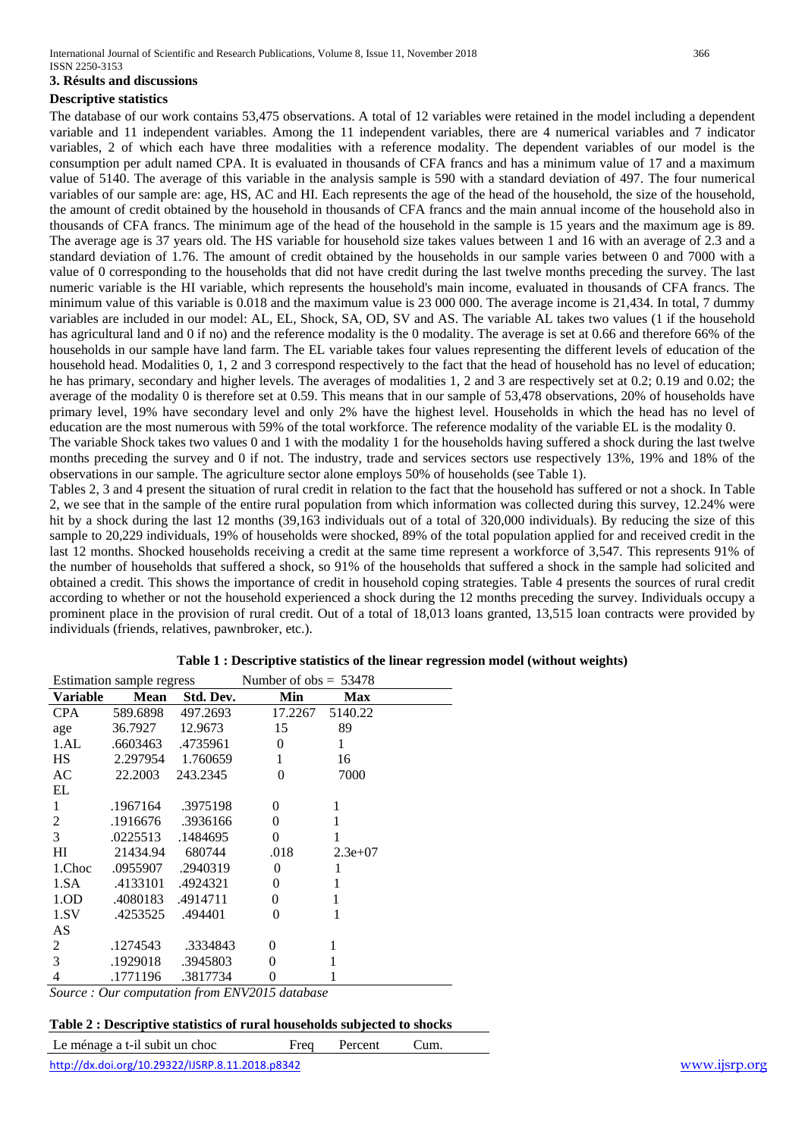# **3. Résults and discussions**

## **Descriptive statistics**

The database of our work contains 53,475 observations. A total of 12 variables were retained in the model including a dependent variable and 11 independent variables. Among the 11 independent variables, there are 4 numerical variables and 7 indicator variables, 2 of which each have three modalities with a reference modality. The dependent variables of our model is the consumption per adult named CPA. It is evaluated in thousands of CFA francs and has a minimum value of 17 and a maximum value of 5140. The average of this variable in the analysis sample is 590 with a standard deviation of 497. The four numerical variables of our sample are: age, HS, AC and HI. Each represents the age of the head of the household, the size of the household, the amount of credit obtained by the household in thousands of CFA francs and the main annual income of the household also in thousands of CFA francs. The minimum age of the head of the household in the sample is 15 years and the maximum age is 89. The average age is 37 years old. The HS variable for household size takes values between 1 and 16 with an average of 2.3 and a standard deviation of 1.76. The amount of credit obtained by the households in our sample varies between 0 and 7000 with a value of 0 corresponding to the households that did not have credit during the last twelve months preceding the survey. The last numeric variable is the HI variable, which represents the household's main income, evaluated in thousands of CFA francs. The minimum value of this variable is 0.018 and the maximum value is 23 000 000. The average income is 21,434. In total, 7 dummy variables are included in our model: AL, EL, Shock, SA, OD, SV and AS. The variable AL takes two values (1 if the household has agricultural land and 0 if no) and the reference modality is the 0 modality. The average is set at 0.66 and therefore 66% of the households in our sample have land farm. The EL variable takes four values representing the different levels of education of the household head. Modalities 0, 1, 2 and 3 correspond respectively to the fact that the head of household has no level of education; he has primary, secondary and higher levels. The averages of modalities 1, 2 and 3 are respectively set at 0.2; 0.19 and 0.02; the average of the modality 0 is therefore set at 0.59. This means that in our sample of 53,478 observations, 20% of households have primary level, 19% have secondary level and only 2% have the highest level. Households in which the head has no level of education are the most numerous with 59% of the total workforce. The reference modality of the variable EL is the modality 0.

The variable Shock takes two values 0 and 1 with the modality 1 for the households having suffered a shock during the last twelve months preceding the survey and 0 if not. The industry, trade and services sectors use respectively 13%, 19% and 18% of the observations in our sample. The agriculture sector alone employs 50% of households (see Table 1).

Tables 2, 3 and 4 present the situation of rural credit in relation to the fact that the household has suffered or not a shock. In Table 2, we see that in the sample of the entire rural population from which information was collected during this survey, 12.24% were hit by a shock during the last 12 months (39,163 individuals out of a total of 320,000 individuals). By reducing the size of this sample to 20,229 individuals, 19% of households were shocked, 89% of the total population applied for and received credit in the last 12 months. Shocked households receiving a credit at the same time represent a workforce of 3,547. This represents 91% of the number of households that suffered a shock, so 91% of the households that suffered a shock in the sample had solicited and obtained a credit. This shows the importance of credit in household coping strategies. Table 4 presents the sources of rural credit according to whether or not the household experienced a shock during the 12 months preceding the survey. Individuals occupy a prominent place in the provision of rural credit. Out of a total of 18,013 loans granted, 13,515 loan contracts were provided by individuals (friends, relatives, pawnbroker, etc.).

|                 | Estimation sample regress |                    | Number of $obs = 53478$ |            |  |  |  |
|-----------------|---------------------------|--------------------|-------------------------|------------|--|--|--|
| <b>Variable</b> | <b>Mean</b>               | Std. Dev.          | Min                     | <b>Max</b> |  |  |  |
| <b>CPA</b>      | 589.6898                  | 497.2693           | 17.2267                 | 5140.22    |  |  |  |
| age             | 36.7927                   | 12.9673            | 15                      | 89         |  |  |  |
| 1.AL            |                           | .6603463. .4735961 | $\theta$                | 1          |  |  |  |
| HS -            | 2.297954                  | 1.760659           | 1                       | 16         |  |  |  |
| AC              | 22.2003                   | 243.2345           | $\theta$                | 7000       |  |  |  |
| EL              |                           |                    |                         |            |  |  |  |
| 1               | .1967164                  | .3975198           | 0                       | 1          |  |  |  |
| $\overline{c}$  |                           | .1916676 .3936166  | $\Omega$                | 1          |  |  |  |
| 3               | .0225513                  | .1484695           | $\theta$                |            |  |  |  |
| HІ              | 21434.94                  | 680744             | .018                    | $2.3e+07$  |  |  |  |
| 1.Choc          |                           | .0955907. .2940319 | $\overline{0}$          | 1          |  |  |  |
| 1.SA            | .4133101                  | .4924321           | $\theta$                | 1          |  |  |  |
| 1.OD            | .4080183                  | .4914711           | $\theta$                | 1          |  |  |  |
| 1.SV            | .4253525                  | .494401            | 0                       |            |  |  |  |
| AS              |                           |                    |                         |            |  |  |  |
| 2               | .1274543                  | .3334843           | $\theta$                | 1          |  |  |  |
| 3               | .1929018                  | .3945803           | 0                       | 1          |  |  |  |
| 4               | .1771196                  | .3817734           | $\overline{0}$          | 1          |  |  |  |

## **Table 1 : Descriptive statistics of the linear regression model (without weights)**

*Source : Our computation from ENV2015 database*

#### **Table 2 : Descriptive statistics of rural households subjected to shocks**

Le ménage a t-il subit un choc Freq Percent Cum.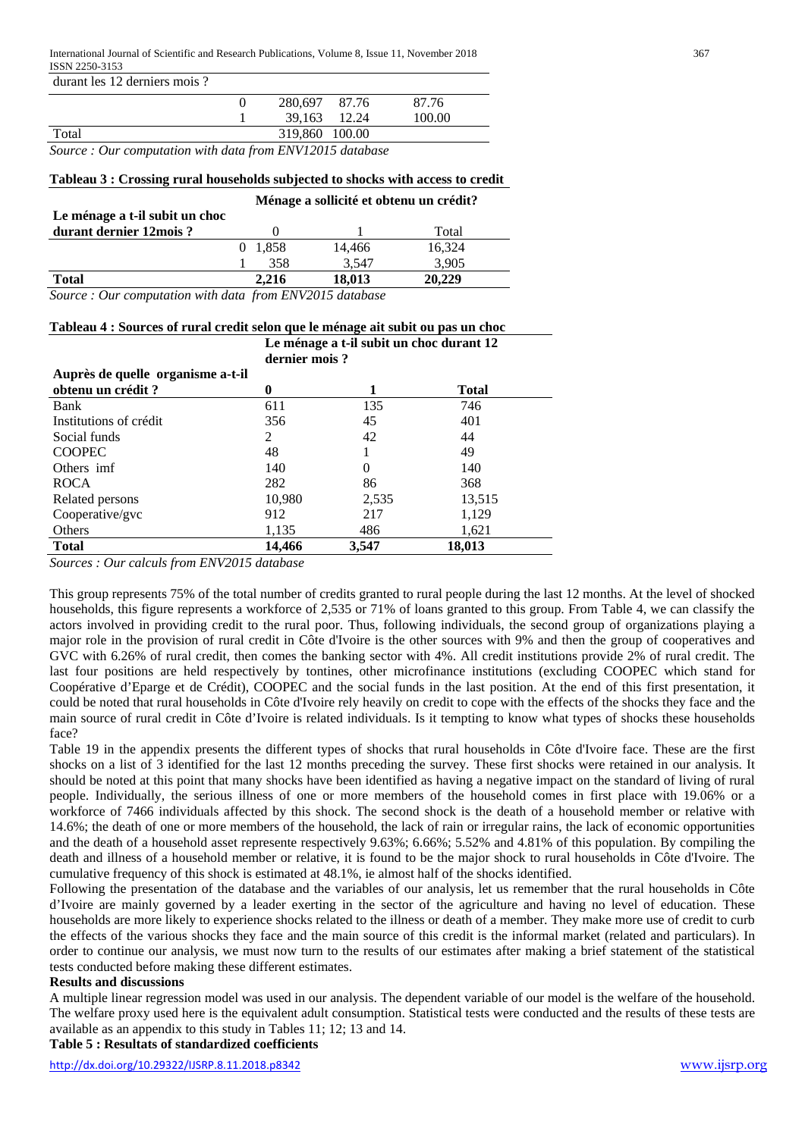| durant les 12 derniers mois ? |                |        |
|-------------------------------|----------------|--------|
|                               | 280.697 87.76  | 87.76  |
|                               | 39.163 12.24   | 100.00 |
| Total                         | 319,860 100.00 |        |

*Source : Our computation with data from ENV12015 database*

#### **Tableau 3 : Crossing rural households subjected to shocks with access to credit**

|                                | Ménage a sollicité et obtenu un crédit? |         |        |        |  |  |  |  |  |
|--------------------------------|-----------------------------------------|---------|--------|--------|--|--|--|--|--|
| Le ménage a t-il subit un choc |                                         |         |        |        |  |  |  |  |  |
| durant dernier 12 mois?        |                                         |         |        | Total  |  |  |  |  |  |
|                                |                                         | 0 1,858 | 14,466 | 16,324 |  |  |  |  |  |
|                                |                                         | 358     | 3.547  | 3.905  |  |  |  |  |  |
| <b>Total</b>                   |                                         | 2.216   | 18,013 | 20,229 |  |  |  |  |  |
|                                |                                         |         |        |        |  |  |  |  |  |

**Tableau 4 : Sources of rural credit selon que le ménage ait subit ou pas un choc**

*Source : Our computation with data from ENV2015 database*

| Le ménage a t-il subit un choc durant 12<br>dernier mois? |        |          |              |  |  |  |  |  |  |  |
|-----------------------------------------------------------|--------|----------|--------------|--|--|--|--|--|--|--|
| Auprès de quelle organisme a-t-il                         |        |          |              |  |  |  |  |  |  |  |
| obtenu un crédit?                                         | 0      |          | <b>Total</b> |  |  |  |  |  |  |  |
| Bank                                                      | 611    | 135      | 746          |  |  |  |  |  |  |  |
| Institutions of crédit                                    | 356    | 45       | 401          |  |  |  |  |  |  |  |
| Social funds                                              | 2      | 42       | 44           |  |  |  |  |  |  |  |
| <b>COOPEC</b>                                             | 48     |          | 49           |  |  |  |  |  |  |  |
| Others imf                                                | 140    | $\Omega$ | 140          |  |  |  |  |  |  |  |
| <b>ROCA</b>                                               | 282    | 86       | 368          |  |  |  |  |  |  |  |
| Related persons                                           | 10,980 | 2,535    | 13,515       |  |  |  |  |  |  |  |
| Cooperative/gvc                                           | 912    | 217      | 1,129        |  |  |  |  |  |  |  |
| Others                                                    | 1,135  | 486      | 1,621        |  |  |  |  |  |  |  |
| <b>Total</b>                                              | 14.466 | 3.547    | 18,013       |  |  |  |  |  |  |  |

*Sources : Our calculs from ENV2015 database*

This group represents 75% of the total number of credits granted to rural people during the last 12 months. At the level of shocked households, this figure represents a workforce of 2,535 or 71% of loans granted to this group. From Table 4, we can classify the actors involved in providing credit to the rural poor. Thus, following individuals, the second group of organizations playing a major role in the provision of rural credit in Côte d'Ivoire is the other sources with 9% and then the group of cooperatives and GVC with 6.26% of rural credit, then comes the banking sector with 4%. All credit institutions provide 2% of rural credit. The last four positions are held respectively by tontines, other microfinance institutions (excluding COOPEC which stand for Coopérative d'Eparge et de Crédit), COOPEC and the social funds in the last position. At the end of this first presentation, it could be noted that rural households in Côte d'Ivoire rely heavily on credit to cope with the effects of the shocks they face and the main source of rural credit in Côte d'Ivoire is related individuals. Is it tempting to know what types of shocks these households face?

Table 19 in the appendix presents the different types of shocks that rural households in Côte d'Ivoire face. These are the first shocks on a list of 3 identified for the last 12 months preceding the survey. These first shocks were retained in our analysis. It should be noted at this point that many shocks have been identified as having a negative impact on the standard of living of rural people. Individually, the serious illness of one or more members of the household comes in first place with 19.06% or a workforce of 7466 individuals affected by this shock. The second shock is the death of a household member or relative with 14.6%; the death of one or more members of the household, the lack of rain or irregular rains, the lack of economic opportunities and the death of a household asset represente respectively 9.63%; 6.66%; 5.52% and 4.81% of this population. By compiling the death and illness of a household member or relative, it is found to be the major shock to rural households in Côte d'Ivoire. The cumulative frequency of this shock is estimated at 48.1%, ie almost half of the shocks identified.

Following the presentation of the database and the variables of our analysis, let us remember that the rural households in Côte d'Ivoire are mainly governed by a leader exerting in the sector of the agriculture and having no level of education. These households are more likely to experience shocks related to the illness or death of a member. They make more use of credit to curb the effects of the various shocks they face and the main source of this credit is the informal market (related and particulars). In order to continue our analysis, we must now turn to the results of our estimates after making a brief statement of the statistical tests conducted before making these different estimates.

## **Results and discussions**

A multiple linear regression model was used in our analysis. The dependent variable of our model is the welfare of the household. The welfare proxy used here is the equivalent adult consumption. Statistical tests were conducted and the results of these tests are available as an appendix to this study in Tables 11; 12; 13 and 14.

**Table 5 : Resultats of standardized coefficients**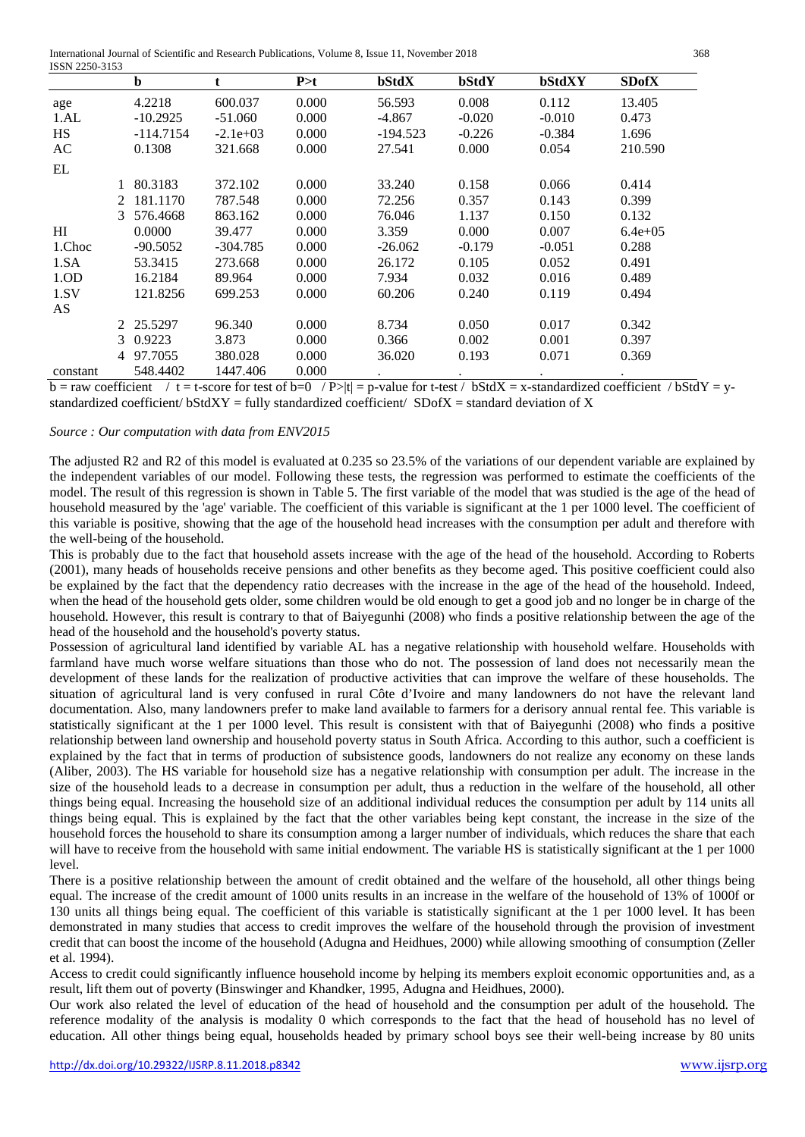International Journal of Scientific and Research Publications, Volume 8, Issue 11, November 2018 368 ISSN 2250-3153

|                  |               | b           | t          | P > t | bStdX      | bStdY    | bStdXY   | <b>SDofX</b> |
|------------------|---------------|-------------|------------|-------|------------|----------|----------|--------------|
| age              |               | 4.2218      | 600.037    | 0.000 | 56.593     | 0.008    | 0.112    | 13.405       |
| 1.AL             |               | $-10.2925$  | $-51.060$  | 0.000 | $-4.867$   | $-0.020$ | $-0.010$ | 0.473        |
| <b>HS</b>        |               | $-114.7154$ | $-2.1e+03$ | 0.000 | $-194.523$ | $-0.226$ | $-0.384$ | 1.696        |
| AC               |               | 0.1308      | 321.668    | 0.000 | 27.541     | 0.000    | 0.054    | 210.590      |
| EL               |               |             |            |       |            |          |          |              |
|                  |               | 80.3183     | 372.102    | 0.000 | 33.240     | 0.158    | 0.066    | 0.414        |
|                  | $\mathcal{L}$ | 181.1170    | 787.548    | 0.000 | 72.256     | 0.357    | 0.143    | 0.399        |
|                  | 3             | 576.4668    | 863.162    | 0.000 | 76.046     | 1.137    | 0.150    | 0.132        |
| H <sub>I</sub>   |               | 0.0000      | 39.477     | 0.000 | 3.359      | 0.000    | 0.007    | $6.4e+0.5$   |
| 1.Choc           |               | $-90.5052$  | -304.785   | 0.000 | $-26.062$  | $-0.179$ | $-0.051$ | 0.288        |
| 1.SA             |               | 53.3415     | 273.668    | 0.000 | 26.172     | 0.105    | 0.052    | 0.491        |
| 1.0 <sub>D</sub> |               | 16.2184     | 89.964     | 0.000 | 7.934      | 0.032    | 0.016    | 0.489        |
| 1.SV             |               | 121.8256    | 699.253    | 0.000 | 60.206     | 0.240    | 0.119    | 0.494        |
| AS               |               |             |            |       |            |          |          |              |
|                  |               | 2 25.5297   | 96.340     | 0.000 | 8.734      | 0.050    | 0.017    | 0.342        |
|                  |               | 3 0.9223    | 3.873      | 0.000 | 0.366      | 0.002    | 0.001    | 0.397        |
|                  | 4             | 97.7055     | 380.028    | 0.000 | 36.020     | 0.193    | 0.071    | 0.369        |
| constant         |               | 548.4402    | 1447.406   | 0.000 |            |          |          |              |

 $b = raw coefficient$  / t = t-score for test of  $b=0$  / P>|t| = p-value for t-test /  $bStdX = x$ -standardized coefficient /  $bStdY = y$ standardized coefficient/  $\text{SbdXY}$  = fully standardized coefficient/  $\text{SDofX}$  = standard deviation of X

## *Source : Our computation with data from ENV2015*

The adjusted R2 and R2 of this model is evaluated at 0.235 so 23.5% of the variations of our dependent variable are explained by the independent variables of our model. Following these tests, the regression was performed to estimate the coefficients of the model. The result of this regression is shown in Table 5. The first variable of the model that was studied is the age of the head of household measured by the 'age' variable. The coefficient of this variable is significant at the 1 per 1000 level. The coefficient of this variable is positive, showing that the age of the household head increases with the consumption per adult and therefore with the well-being of the household.

This is probably due to the fact that household assets increase with the age of the head of the household. According to Roberts (2001), many heads of households receive pensions and other benefits as they become aged. This positive coefficient could also be explained by the fact that the dependency ratio decreases with the increase in the age of the head of the household. Indeed, when the head of the household gets older, some children would be old enough to get a good job and no longer be in charge of the household. However, this result is contrary to that of Baiyegunhi (2008) who finds a positive relationship between the age of the head of the household and the household's poverty status.

Possession of agricultural land identified by variable AL has a negative relationship with household welfare. Households with farmland have much worse welfare situations than those who do not. The possession of land does not necessarily mean the development of these lands for the realization of productive activities that can improve the welfare of these households. The situation of agricultural land is very confused in rural Côte d'Ivoire and many landowners do not have the relevant land documentation. Also, many landowners prefer to make land available to farmers for a derisory annual rental fee. This variable is statistically significant at the 1 per 1000 level. This result is consistent with that of Baiyegunhi (2008) who finds a positive relationship between land ownership and household poverty status in South Africa. According to this author, such a coefficient is explained by the fact that in terms of production of subsistence goods, landowners do not realize any economy on these lands (Aliber, 2003). The HS variable for household size has a negative relationship with consumption per adult. The increase in the size of the household leads to a decrease in consumption per adult, thus a reduction in the welfare of the household, all other things being equal. Increasing the household size of an additional individual reduces the consumption per adult by 114 units all things being equal. This is explained by the fact that the other variables being kept constant, the increase in the size of the household forces the household to share its consumption among a larger number of individuals, which reduces the share that each will have to receive from the household with same initial endowment. The variable HS is statistically significant at the 1 per 1000 level.

There is a positive relationship between the amount of credit obtained and the welfare of the household, all other things being equal. The increase of the credit amount of 1000 units results in an increase in the welfare of the household of 13% of 1000f or 130 units all things being equal. The coefficient of this variable is statistically significant at the 1 per 1000 level. It has been demonstrated in many studies that access to credit improves the welfare of the household through the provision of investment credit that can boost the income of the household (Adugna and Heidhues, 2000) while allowing smoothing of consumption (Zeller et al. 1994).

Access to credit could significantly influence household income by helping its members exploit economic opportunities and, as a result, lift them out of poverty (Binswinger and Khandker, 1995, Adugna and Heidhues, 2000).

Our work also related the level of education of the head of household and the consumption per adult of the household. The reference modality of the analysis is modality 0 which corresponds to the fact that the head of household has no level of education. All other things being equal, households headed by primary school boys see their well-being increase by 80 units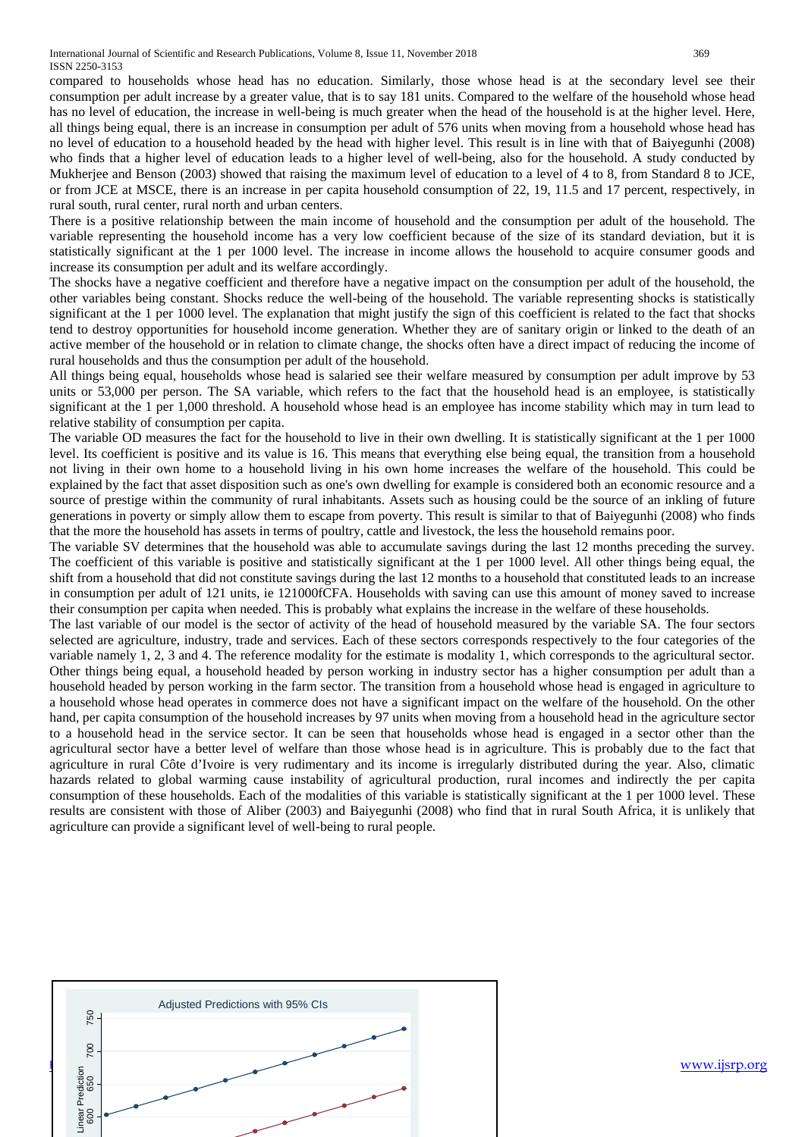International Journal of Scientific and Research Publications, Volume 8, Issue 11, November 2018 369 ISSN 2250-3153

compared to households whose head has no education. Similarly, those whose head is at the secondary level see their consumption per adult increase by a greater value, that is to say 181 units. Compared to the welfare of the household whose head has no level of education, the increase in well-being is much greater when the head of the household is at the higher level. Here, all things being equal, there is an increase in consumption per adult of 576 units when moving from a household whose head has no level of education to a household headed by the head with higher level. This result is in line with that of Baiyegunhi (2008) who finds that a higher level of education leads to a higher level of well-being, also for the household. A study conducted by Mukherjee and Benson (2003) showed that raising the maximum level of education to a level of 4 to 8, from Standard 8 to JCE, or from JCE at MSCE, there is an increase in per capita household consumption of 22, 19, 11.5 and 17 percent, respectively, in rural south, rural center, rural north and urban centers.

There is a positive relationship between the main income of household and the consumption per adult of the household. The variable representing the household income has a very low coefficient because of the size of its standard deviation, but it is statistically significant at the 1 per 1000 level. The increase in income allows the household to acquire consumer goods and increase its consumption per adult and its welfare accordingly.

The shocks have a negative coefficient and therefore have a negative impact on the consumption per adult of the household, the other variables being constant. Shocks reduce the well-being of the household. The variable representing shocks is statistically significant at the 1 per 1000 level. The explanation that might justify the sign of this coefficient is related to the fact that shocks tend to destroy opportunities for household income generation. Whether they are of sanitary origin or linked to the death of an active member of the household or in relation to climate change, the shocks often have a direct impact of reducing the income of rural households and thus the consumption per adult of the household.

All things being equal, households whose head is salaried see their welfare measured by consumption per adult improve by 53 units or 53,000 per person. The SA variable, which refers to the fact that the household head is an employee, is statistically significant at the 1 per 1,000 threshold. A household whose head is an employee has income stability which may in turn lead to relative stability of consumption per capita.

The variable OD measures the fact for the household to live in their own dwelling. It is statistically significant at the 1 per 1000 level. Its coefficient is positive and its value is 16. This means that everything else being equal, the transition from a household not living in their own home to a household living in his own home increases the welfare of the household. This could be explained by the fact that asset disposition such as one's own dwelling for example is considered both an economic resource and a source of prestige within the community of rural inhabitants. Assets such as housing could be the source of an inkling of future generations in poverty or simply allow them to escape from poverty. This result is similar to that of Baiyegunhi (2008) who finds that the more the household has assets in terms of poultry, cattle and livestock, the less the household remains poor.

The variable SV determines that the household was able to accumulate savings during the last 12 months preceding the survey. The coefficient of this variable is positive and statistically significant at the 1 per 1000 level. All other things being equal, the shift from a household that did not constitute savings during the last 12 months to a household that constituted leads to an increase in consumption per adult of 121 units, ie 121000fCFA. Households with saving can use this amount of money saved to increase their consumption per capita when needed. This is probably what explains the increase in the welfare of these households.

The last variable of our model is the sector of activity of the head of household measured by the variable SA. The four sectors selected are agriculture, industry, trade and services. Each of these sectors corresponds respectively to the four categories of the variable namely 1, 2, 3 and 4. The reference modality for the estimate is modality 1, which corresponds to the agricultural sector. Other things being equal, a household headed by person working in industry sector has a higher consumption per adult than a household headed by person working in the farm sector. The transition from a household whose head is engaged in agriculture to a household whose head operates in commerce does not have a significant impact on the welfare of the household. On the other hand, per capita consumption of the household increases by 97 units when moving from a household head in the agriculture sector to a household head in the service sector. It can be seen that households whose head is engaged in a sector other than the agricultural sector have a better level of welfare than those whose head is in agriculture. This is probably due to the fact that agriculture in rural Côte d'Ivoire is very rudimentary and its income is irregularly distributed during the year. Also, climatic hazards related to global warming cause instability of agricultural production, rural incomes and indirectly the per capita consumption of these households. Each of the modalities of this variable is statistically significant at the 1 per 1000 level. These results are consistent with those of Aliber (2003) and Baiyegunhi (2008) who find that in rural South Africa, it is unlikely that agriculture can provide a significant level of well-being to rural people.

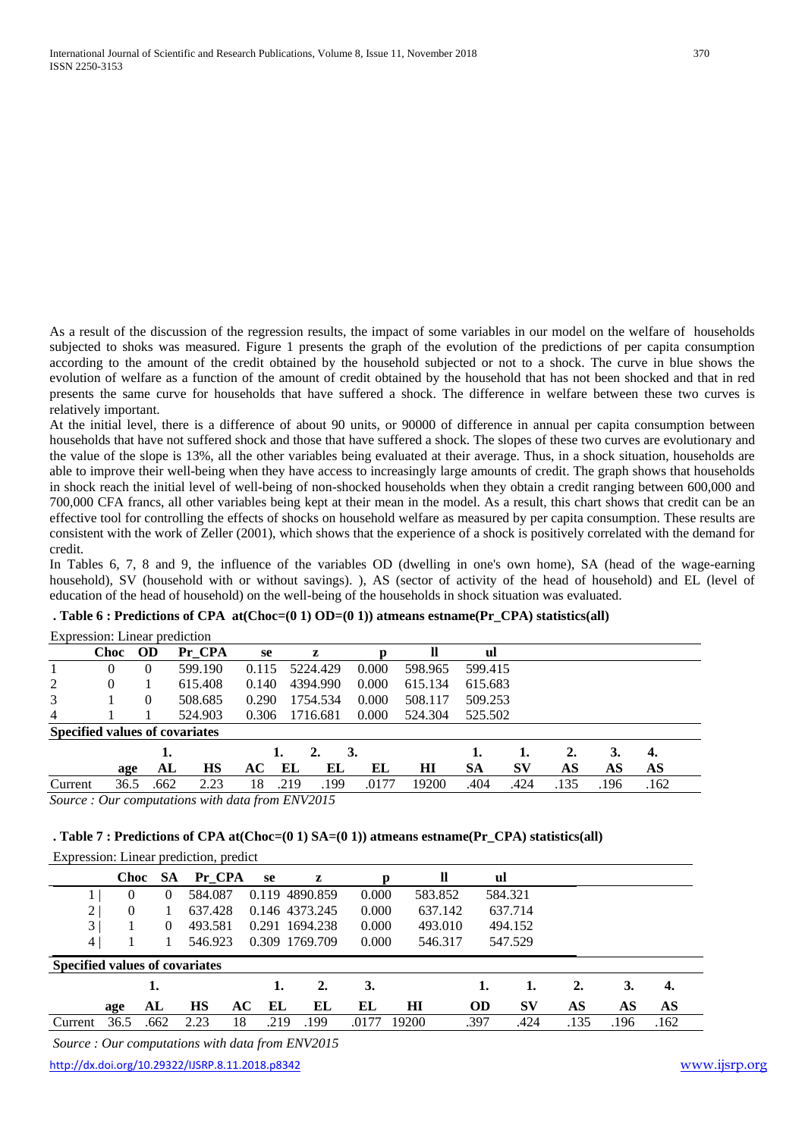As a result of the discussion of the regression results, the impact of some variables in our model on the welfare of households subjected to shoks was measured. Figure 1 presents the graph of the evolution of the predictions of per capita consumption according to the amount of the credit obtained by the household subjected or not to a shock. The curve in blue shows the evolution of welfare as a function of the amount of credit obtained by the household that has not been shocked and that in red presents the same curve for households that have suffered a shock. The difference in welfare between these two curves is relatively important.

At the initial level, there is a difference of about 90 units, or 90000 of difference in annual per capita consumption between households that have not suffered shock and those that have suffered a shock. The slopes of these two curves are evolutionary and the value of the slope is 13%, all the other variables being evaluated at their average. Thus, in a shock situation, households are able to improve their well-being when they have access to increasingly large amounts of credit. The graph shows that households in shock reach the initial level of well-being of non-shocked households when they obtain a credit ranging between 600,000 and 700,000 CFA francs, all other variables being kept at their mean in the model. As a result, this chart shows that credit can be an effective tool for controlling the effects of shocks on household welfare as measured by per capita consumption. These results are consistent with the work of Zeller (2001), which shows that the experience of a shock is positively correlated with the demand for credit.

In Tables 6, 7, 8 and 9, the influence of the variables OD (dwelling in one's own home), SA (head of the wage-earning household), SV (household with or without savings). ), AS (sector of activity of the head of household) and EL (level of education of the head of household) on the well-being of the households in shock situation was evaluated.

|                                       | Expression: Linear prediction |           |      |         |       |      |           |       |         |         |      |      |      |      |  |
|---------------------------------------|-------------------------------|-----------|------|---------|-------|------|-----------|-------|---------|---------|------|------|------|------|--|
|                                       | <b>Choc</b>                   | <b>OD</b> |      | Pr CPA  | se    |      | z         |       | ll      | ul      |      |      |      |      |  |
|                                       | $\theta$                      | $\theta$  |      | 599.190 | 0.115 |      | 5224.429  | 0.000 | 598.965 | 599.415 |      |      |      |      |  |
| 2                                     | 0                             |           |      | 615.408 | 0.140 |      | 4394.990  | 0.000 | 615.134 | 615.683 |      |      |      |      |  |
| 3                                     |                               | $\theta$  |      | 508.685 | 0.290 |      | 1754.534  | 0.000 | 508.117 | 509.253 |      |      |      |      |  |
| $\overline{4}$                        |                               |           |      | 524.903 | 0.306 |      | 1716.681  | 0.000 | 524.304 | 525.502 |      |      |      |      |  |
| <b>Specified values of covariates</b> |                               |           |      |         |       |      |           |       |         |         |      |      |      |      |  |
|                                       |                               |           | ı.   |         |       |      | 2.        | 3.    |         |         | 1.   | 2.   | 3.   | 4.   |  |
|                                       | age                           |           | AL   | НS      | AC    | EL   | EL        | EL    | HI      | SA      | SV   | AS   | AS   | AS   |  |
| Current                               | 36.5                          |           | .662 | 2.23    | 18    | .219 | .199      | .0177 | 19200   | .404    | .424 | .135 | .196 | .162 |  |
| $\sim$                                | $\sim$                        |           |      |         |       |      | T11HIAO1F |       |         |         |      |      |      |      |  |

**. Table 6 : Predictions of CPA at(Choc=(0 1) OD=(0 1)) atmeans estname(Pr\_CPA) statistics(all)**

*Source : Our computations with data from ENV2015*

#### **. Table 7 : Predictions of CPA at(Choc=(0 1) SA=(0 1)) atmeans estname(Pr\_CPA) statistics(all)**

|                                       |             |           | Expression: Linear prediction, predict |       |                |       |               |           |           |                  |      |      |
|---------------------------------------|-------------|-----------|----------------------------------------|-------|----------------|-------|---------------|-----------|-----------|------------------|------|------|
|                                       | <b>Choc</b> | <b>SA</b> | Pr CPA                                 | se    | z              |       | <sup>11</sup> | ul        |           |                  |      |      |
|                                       | 0           | $\theta$  | 584.087                                | 0.119 | 4890.859       | 0.000 | 583.852       |           | 584.321   |                  |      |      |
| 2                                     | $\theta$    |           | 637.428                                |       | 0.146 4373.245 | 0.000 | 637.142       |           | 637.714   |                  |      |      |
| 3                                     |             | 0         | 493.581                                |       | 0.291 1694.238 | 0.000 | 493.010       |           | 494.152   |                  |      |      |
| 4 <sup>1</sup>                        |             |           | 546.923                                |       | 0.309 1769.709 | 0.000 | 546.317       |           | 547.529   |                  |      |      |
| <b>Specified values of covariates</b> |             |           |                                        |       |                |       |               |           |           |                  |      |      |
|                                       |             | 1.        |                                        | 1.    | 2.             | 3.    |               | 1.        | 1.        | $\overline{2}$ . | 3.   | 4.   |
|                                       | age         | AL        | <b>HS</b><br>AC                        | EL    | EL             | EL    | H I           | <b>OD</b> | <b>SV</b> | AS               | AS   | AS   |
| Current                               | 36.5        | .662      | 18<br>2.23                             | .219  | 199            | .0177 | 19200         | .397      | .424      | .135             | .196 | .162 |

*Source : Our computations with data from ENV2015*

<http://dx.doi.org/10.29322/IJSRP.8.11.2018.p8342> [www.ijsrp.org](http://ijsrp.org/)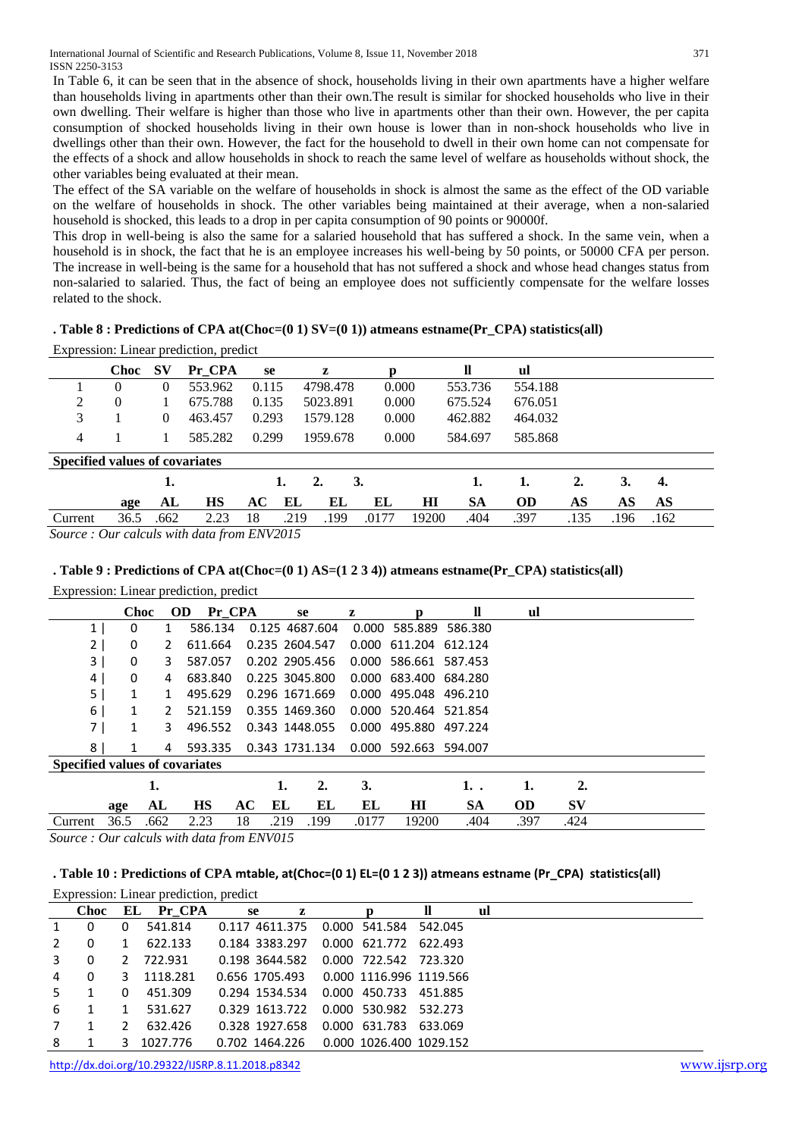In Table 6, it can be seen that in the absence of shock, households living in their own apartments have a higher welfare than households living in apartments other than their own.The result is similar for shocked households who live in their own dwelling. Their welfare is higher than those who live in apartments other than their own. However, the per capita consumption of shocked households living in their own house is lower than in non-shock households who live in dwellings other than their own. However, the fact for the household to dwell in their own home can not compensate for the effects of a shock and allow households in shock to reach the same level of welfare as households without shock, the other variables being evaluated at their mean.

The effect of the SA variable on the welfare of households in shock is almost the same as the effect of the OD variable on the welfare of households in shock. The other variables being maintained at their average, when a non-salaried household is shocked, this leads to a drop in per capita consumption of 90 points or 90000f.

This drop in well-being is also the same for a salaried household that has suffered a shock. In the same vein, when a household is in shock, the fact that he is an employee increases his well-being by 50 points, or 50000 CFA per person. The increase in well-being is the same for a household that has not suffered a shock and whose head changes status from non-salaried to salaried. Thus, the fact of being an employee does not sufficiently compensate for the welfare losses related to the shock.

**. Table 8 : Predictions of CPA at(Choc=(0 1) SV=(0 1)) atmeans estname(Pr\_CPA) statistics(all)**

Expression: Linear prediction, predict

|                                       | <b>Choc</b> | <b>SV</b> | Pr CPA  | se    | z        |          |       |       | ll        | ul        |      |      |      |  |
|---------------------------------------|-------------|-----------|---------|-------|----------|----------|-------|-------|-----------|-----------|------|------|------|--|
|                                       | $\theta$    | 0         | 553.962 | 0.115 |          | 4798.478 | 0.000 |       | 553.736   | 554.188   |      |      |      |  |
| 2                                     | $\theta$    |           | 675.788 | 0.135 | 5023.891 |          | 0.000 |       | 675.524   | 676.051   |      |      |      |  |
| 3                                     |             | 0         | 463.457 | 0.293 |          | 1579.128 | 0.000 |       | 462.882   | 464.032   |      |      |      |  |
| 4                                     |             |           | 585.282 | 0.299 |          | 1959.678 | 0.000 |       | 584.697   | 585.868   |      |      |      |  |
| <b>Specified values of covariates</b> |             |           |         |       |          |          |       |       |           |           |      |      |      |  |
|                                       |             | 1.        |         | 1.    | 2.       | 3.       |       |       | 1.        | 1.        | 2.   | 3.   | 4.   |  |
|                                       | age         | AL        | НS      | AC    | EL       | EL       | EL    | HІ    | <b>SA</b> | <b>OD</b> | AS   | AS   | AS   |  |
| Current                               | 36.5        | .662      | 2.23    | 18    | .219     | .199     | .0177 | 19200 | .404      | .397      | .135 | .196 | .162 |  |

*Source : Our calculs with data from ENV2015*

# **. Table 9 : Predictions of CPA at(Choc=(0 1) AS=(1 2 3 4)) atmeans estname(Pr\_CPA) statistics(all)**

Expression: Linear prediction, predict

|                                       | Choc |      | <b>OD</b> | Pr CPA    |                | se   |      | z     | n                     | <b>II</b> | ul        |           |  |
|---------------------------------------|------|------|-----------|-----------|----------------|------|------|-------|-----------------------|-----------|-----------|-----------|--|
| 1 <sub>1</sub>                        | 0    |      |           | 586.134   | 0.125 4687.604 |      |      | 0.000 | 585.889               | 586.380   |           |           |  |
| 2 <sup>1</sup>                        | 0    | 2    |           | 611.664   | 0.235 2604.547 |      |      |       | 0.000 611.204         | 612.124   |           |           |  |
| 3                                     | 0    | 3    |           | 587.057   | 0.202 2905.456 |      |      |       | 0.000 586.661 587.453 |           |           |           |  |
| 4                                     | 0    | 4    |           | 683.840   | 0.225 3045.800 |      |      |       | 0.000 683.400 684.280 |           |           |           |  |
| 5                                     | 1    | 1    |           | 495.629   | 0.296 1671.669 |      |      | 0.000 | 495.048               | 496.210   |           |           |  |
| 6                                     | 1    | 2    |           | 521.159   | 0.355 1469.360 |      |      | 0.000 | 520.464               | 521.854   |           |           |  |
| 7                                     | 1    | 3    |           | 496.552   | 0.343 1448.055 |      |      | 0.000 | 495.880               | 497.224   |           |           |  |
| 8                                     | 1    | 4    |           | 593.335   | 0.343 1731.134 |      |      |       | 0.000 592.663         | 594.007   |           |           |  |
| <b>Specified values of covariates</b> |      |      |           |           |                |      |      |       |                       |           |           |           |  |
|                                       |      | 1.   |           |           |                | 1.   | 2.   | 3.    |                       | 1. .      | 1.        | 2.        |  |
|                                       | age  | AL   |           | <b>HS</b> | AC             | EL   | EL   | EL    | H <sub>I</sub>        | SА        | <b>OD</b> | <b>SV</b> |  |
| Current                               | 36.5 | .662 |           | 2.23      | 18             | .219 | .199 | .0177 | 19200                 | .404      | .397      | .424      |  |

*Source : Our calculs with data from ENV015*

## **. Table 10 : Predictions of CPA mtable, at(Choc=(0 1) EL=(0 1 2 3)) atmeans estname (Pr\_CPA) statistics(all)**

|              |             |    | Expression: Linear prediction, predict |                |   |                         |         |    |
|--------------|-------------|----|----------------------------------------|----------------|---|-------------------------|---------|----|
|              | <b>Choc</b> | EL | Pr CPA                                 | se             | z | Ŋ                       | ll      | ul |
| $\mathbf{1}$ | 0           | 0  | 541.814                                | 0.117 4611.375 |   | 0.000 541.584           | 542.045 |    |
|              | $\Omega$    | 1  | 622.133                                | 0.184 3383.297 |   | 0.000 621.772           | 622.493 |    |
| 3            | $\Omega$    | 2  | 722.931                                | 0.198 3644.582 |   | 0.000 722.542 723.320   |         |    |
| 4            | $\Omega$    | 3  | 1118.281                               | 0.656 1705.493 |   | 0.000 1116.996 1119.566 |         |    |
| .5           |             | 0  | 451.309                                | 0.294 1534.534 |   | 0.000 450.733           | 451.885 |    |
| 6            |             | 1  | 531.627                                | 0.329 1613.722 |   | 0.000 530.982           | 532.273 |    |
|              |             | 2  | 632.426                                | 0.328 1927.658 |   | 0.000 631.783           | 633.069 |    |
| 8            |             | 3  | 1027.776                               | 0.702 1464.226 |   | 0.000 1026.400 1029.152 |         |    |

<http://dx.doi.org/10.29322/IJSRP.8.11.2018.p8342> [www.ijsrp.org](http://ijsrp.org/)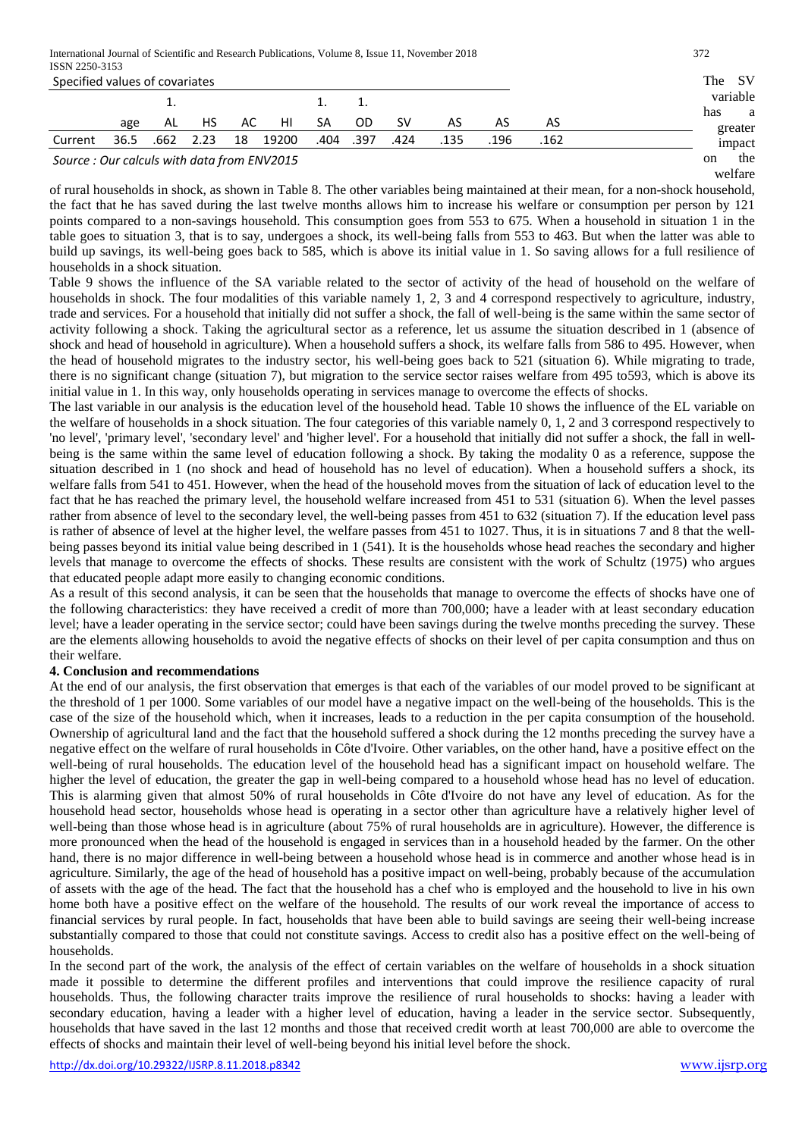International Journal of Scientific and Research Publications, Volume 8, Issue 11, November 2018 372 ISSN 2250-3153

| 19911 2290-9199<br>Specified values of covariates |      |      |      |    |       |      |      |      |      |      |      | The | -SV            |
|---------------------------------------------------|------|------|------|----|-------|------|------|------|------|------|------|-----|----------------|
|                                                   |      |      |      |    |       |      |      |      |      |      |      |     | variable       |
|                                                   |      |      |      |    |       |      |      |      |      |      |      | has | a              |
|                                                   | age  | AL   | HS   | AC | HI    | SA   | 0D   | sv   | AS   | AS   | AS   |     | greater        |
| Current                                           | 36.5 | .662 | 2.23 | 18 | 19200 | .404 | .397 | .424 | .135 | .196 | .162 |     | impact         |
| Source: Our calculs with data from ENV2015        |      |      |      |    |       |      |      |      |      |      |      | on  | the<br>welfare |

of rural households in shock, as shown in Table 8. The other variables being maintained at their mean, for a non-shock household, the fact that he has saved during the last twelve months allows him to increase his welfare or consumption per person by 121 points compared to a non-savings household. This consumption goes from 553 to 675. When a household in situation 1 in the table goes to situation 3, that is to say, undergoes a shock, its well-being falls from 553 to 463. But when the latter was able to build up savings, its well-being goes back to 585, which is above its initial value in 1. So saving allows for a full resilience of households in a shock situation.

Table 9 shows the influence of the SA variable related to the sector of activity of the head of household on the welfare of households in shock. The four modalities of this variable namely 1, 2, 3 and 4 correspond respectively to agriculture, industry, trade and services. For a household that initially did not suffer a shock, the fall of well-being is the same within the same sector of activity following a shock. Taking the agricultural sector as a reference, let us assume the situation described in 1 (absence of shock and head of household in agriculture). When a household suffers a shock, its welfare falls from 586 to 495. However, when the head of household migrates to the industry sector, his well-being goes back to 521 (situation 6). While migrating to trade, there is no significant change (situation 7), but migration to the service sector raises welfare from 495 to593, which is above its initial value in 1. In this way, only households operating in services manage to overcome the effects of shocks.

The last variable in our analysis is the education level of the household head. Table 10 shows the influence of the EL variable on the welfare of households in a shock situation. The four categories of this variable namely 0, 1, 2 and 3 correspond respectively to 'no level', 'primary level', 'secondary level' and 'higher level'. For a household that initially did not suffer a shock, the fall in wellbeing is the same within the same level of education following a shock. By taking the modality 0 as a reference, suppose the situation described in 1 (no shock and head of household has no level of education). When a household suffers a shock, its welfare falls from 541 to 451. However, when the head of the household moves from the situation of lack of education level to the fact that he has reached the primary level, the household welfare increased from 451 to 531 (situation 6). When the level passes rather from absence of level to the secondary level, the well-being passes from 451 to 632 (situation 7). If the education level pass is rather of absence of level at the higher level, the welfare passes from 451 to 1027. Thus, it is in situations 7 and 8 that the wellbeing passes beyond its initial value being described in 1 (541). It is the households whose head reaches the secondary and higher levels that manage to overcome the effects of shocks. These results are consistent with the work of Schultz (1975) who argues that educated people adapt more easily to changing economic conditions.

As a result of this second analysis, it can be seen that the households that manage to overcome the effects of shocks have one of the following characteristics: they have received a credit of more than 700,000; have a leader with at least secondary education level; have a leader operating in the service sector; could have been savings during the twelve months preceding the survey. These are the elements allowing households to avoid the negative effects of shocks on their level of per capita consumption and thus on their welfare.

## **4. Conclusion and recommendations**

At the end of our analysis, the first observation that emerges is that each of the variables of our model proved to be significant at the threshold of 1 per 1000. Some variables of our model have a negative impact on the well-being of the households. This is the case of the size of the household which, when it increases, leads to a reduction in the per capita consumption of the household. Ownership of agricultural land and the fact that the household suffered a shock during the 12 months preceding the survey have a negative effect on the welfare of rural households in Côte d'Ivoire. Other variables, on the other hand, have a positive effect on the well-being of rural households. The education level of the household head has a significant impact on household welfare. The higher the level of education, the greater the gap in well-being compared to a household whose head has no level of education. This is alarming given that almost 50% of rural households in Côte d'Ivoire do not have any level of education. As for the household head sector, households whose head is operating in a sector other than agriculture have a relatively higher level of well-being than those whose head is in agriculture (about 75% of rural households are in agriculture). However, the difference is more pronounced when the head of the household is engaged in services than in a household headed by the farmer. On the other hand, there is no major difference in well-being between a household whose head is in commerce and another whose head is in agriculture. Similarly, the age of the head of household has a positive impact on well-being, probably because of the accumulation of assets with the age of the head. The fact that the household has a chef who is employed and the household to live in his own home both have a positive effect on the welfare of the household. The results of our work reveal the importance of access to financial services by rural people. In fact, households that have been able to build savings are seeing their well-being increase substantially compared to those that could not constitute savings. Access to credit also has a positive effect on the well-being of households.

In the second part of the work, the analysis of the effect of certain variables on the welfare of households in a shock situation made it possible to determine the different profiles and interventions that could improve the resilience capacity of rural households. Thus, the following character traits improve the resilience of rural households to shocks: having a leader with secondary education, having a leader with a higher level of education, having a leader in the service sector. Subsequently, households that have saved in the last 12 months and those that received credit worth at least 700,000 are able to overcome the effects of shocks and maintain their level of well-being beyond his initial level before the shock.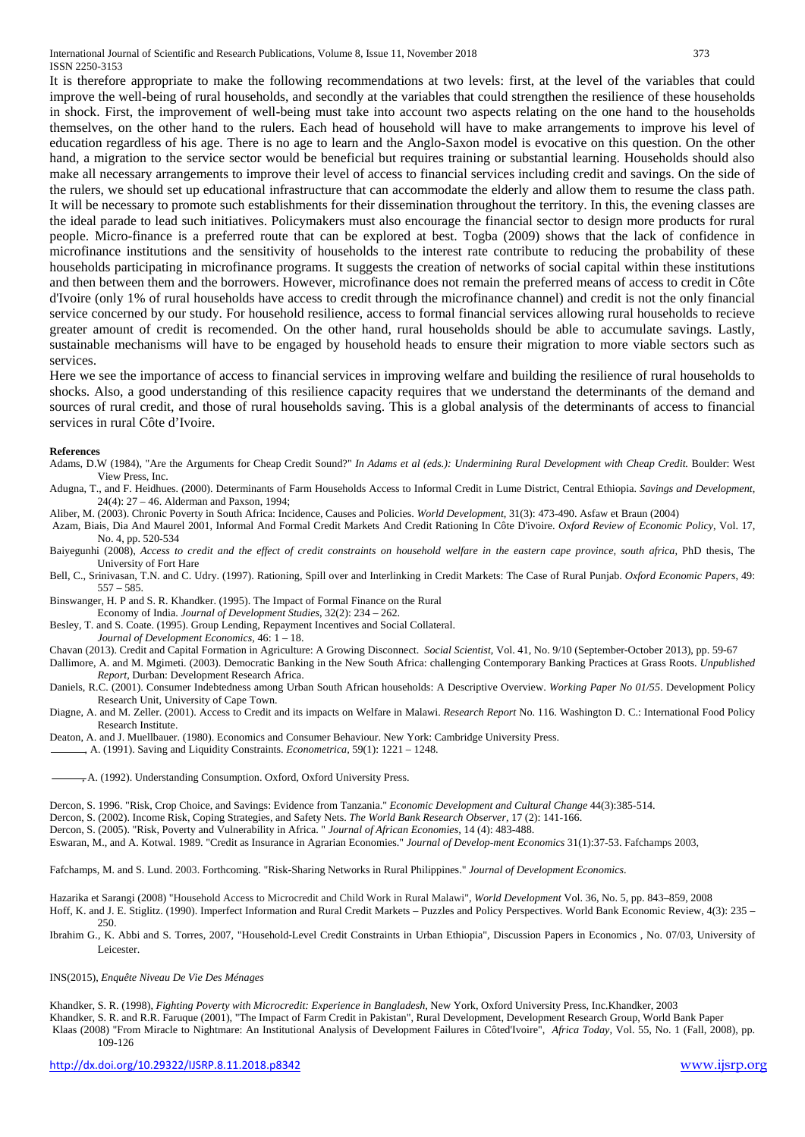International Journal of Scientific and Research Publications, Volume 8, Issue 11, November 2018 373 ISSN 2250-3153

It is therefore appropriate to make the following recommendations at two levels: first, at the level of the variables that could improve the well-being of rural households, and secondly at the variables that could strengthen the resilience of these households in shock. First, the improvement of well-being must take into account two aspects relating on the one hand to the households themselves, on the other hand to the rulers. Each head of household will have to make arrangements to improve his level of education regardless of his age. There is no age to learn and the Anglo-Saxon model is evocative on this question. On the other hand, a migration to the service sector would be beneficial but requires training or substantial learning. Households should also make all necessary arrangements to improve their level of access to financial services including credit and savings. On the side of the rulers, we should set up educational infrastructure that can accommodate the elderly and allow them to resume the class path. It will be necessary to promote such establishments for their dissemination throughout the territory. In this, the evening classes are the ideal parade to lead such initiatives. Policymakers must also encourage the financial sector to design more products for rural people. Micro-finance is a preferred route that can be explored at best. Togba (2009) shows that the lack of confidence in microfinance institutions and the sensitivity of households to the interest rate contribute to reducing the probability of these households participating in microfinance programs. It suggests the creation of networks of social capital within these institutions and then between them and the borrowers. However, microfinance does not remain the preferred means of access to credit in Côte d'Ivoire (only 1% of rural households have access to credit through the microfinance channel) and credit is not the only financial service concerned by our study. For household resilience, access to formal financial services allowing rural households to recieve greater amount of credit is recomended. On the other hand, rural households should be able to accumulate savings. Lastly, sustainable mechanisms will have to be engaged by household heads to ensure their migration to more viable sectors such as services.

Here we see the importance of access to financial services in improving welfare and building the resilience of rural households to shocks. Also, a good understanding of this resilience capacity requires that we understand the determinants of the demand and sources of rural credit, and those of rural households saving. This is a global analysis of the determinants of access to financial services in rural Côte d'Ivoire.

#### **References**

- Adams, D.W (1984), "Are the Arguments for Cheap Credit Sound?" *In Adams et al (eds.): Undermining Rural Development with Cheap Credit.* Boulder: West View Press, Inc.
- Adugna, T., and F. Heidhues. (2000). Determinants of Farm Households Access to Informal Credit in Lume District, Central Ethiopia. *Savings and Development,*  24(4): 27 – 46. Alderman and Paxson, 1994;
- Aliber, M. (2003). Chronic Poverty in South Africa: Incidence, Causes and Policies. *World Development,* 31(3): 473-490. Asfaw et Braun (2004)
- Azam, Biais, Dia And Maurel 2001, Informal And Formal Credit Markets And Credit Rationing In Côte D'ivoire. *Oxford Review of Economic Policy*, Vol. 17, No. 4, pp. 520-534
- Baiyegunhi (2008), *Access to credit and the effect of credit constraints on household welfare in the eastern cape province, south africa*, PhD thesis, The University of Fort Hare
- Bell, C., Srinivasan, T.N. and C. Udry. (1997). Rationing, Spill over and Interlinking in Credit Markets: The Case of Rural Punjab. *Oxford Economic Papers*, 49: 557 – 585.

Binswanger, H. P and S. R. Khandker. (1995). The Impact of Formal Finance on the Rural

Economy of India. *Journal of Development Studies*, 32(2): 234 – 262.

Besley, T. and S. Coate. (1995). Group Lending, Repayment Incentives and Social Collateral.

*Journal of Development Economics,* 46: 1 – 18.

Chavan (2013). Credit and Capital Formation in Agriculture: A Growing Disconnect. *Social Scientist*, Vol. 41, No. 9/10 (September-October 2013), pp. 59-67

Dallimore, A. and M. Mgimeti. (2003). Democratic Banking in the New South Africa: challenging Contemporary Banking Practices at Grass Roots. *Unpublished Report*, Durban: Development Research Africa.

Daniels, R.C. (2001). Consumer Indebtedness among Urban South African households: A Descriptive Overview. *Working Paper No 01/55*. Development Policy Research Unit, University of Cape Town.

Diagne, A. and M. Zeller. (2001). Access to Credit and its impacts on Welfare in Malawi. *Research Report* No. 116. Washington D. C.: International Food Policy Research Institute.

Deaton, A. and J. Muellbauer. (1980). Economics and Consumer Behaviour. New York: Cambridge University Press.

, A. (1991). Saving and Liquidity Constraints. *Econometrica,* 59(1): 1221 – 1248.

 $-A$ . (1992). Understanding Consumption. Oxford, Oxford University Press.

Dercon, S. 1996. "Risk, Crop Choice, and Savings: Evidence from Tanzania." *Economic Development and Cultural Change* 44(3):385-514.

Dercon, S. (2002). Income Risk, Coping Strategies, and Safety Nets. *The World Bank Research Observer*, 17 (2): 141-166.

Dercon, S. (2005). "Risk, Poverty and Vulnerability in Africa. " *Journal of African Economies*, 14 (4): 483-488.

Eswaran, M., and A. Kotwal. 1989. "Credit as Insurance in Agrarian Economies." *Journal of Develop-ment Economics* 31(1):37-53. Fafchamps 2003,

Fafchamps, M. and S. Lund. 2003. Forthcoming. "Risk-Sharing Networks in Rural Philippines." *Journal of Development Economics*.

Hazarika et Sarangi (2008) "Household Access to Microcredit and Child Work in Rural Malawi", *World Development* Vol. 36, No. 5, pp. 843–859, 2008 Hoff, K. and J. E. Stiglitz. (1990). Imperfect Information and Rural Credit Markets – Puzzles and Policy Perspectives. World Bank Economic Review, 4(3): 235 – 250.

Ibrahim G., K. Abbi and S. Torres, 2007, "Household-Level Credit Constraints in Urban Ethiopia", Discussion Papers in Economics , No. 07/03, University of Leicester.

#### INS(2015), *Enquête Niveau De Vie Des Ménages*

Khandker, S. R. (1998), *Fighting Poverty with Microcredit: Experience in Bangladesh*, New York, Oxford University Press, Inc.Khandker, 2003 Khandker, S. R. and R.R. Faruque (2001), "The Impact of Farm Credit in Pakistan", Rural Development, Development Research Group, World Bank Paper Klaas (2008) "From Miracle to Nightmare: An Institutional Analysis of Development Failures in Côted'Ivoire", *Africa Today*, Vol. 55, No. 1 (Fall, 2008), pp. 109-126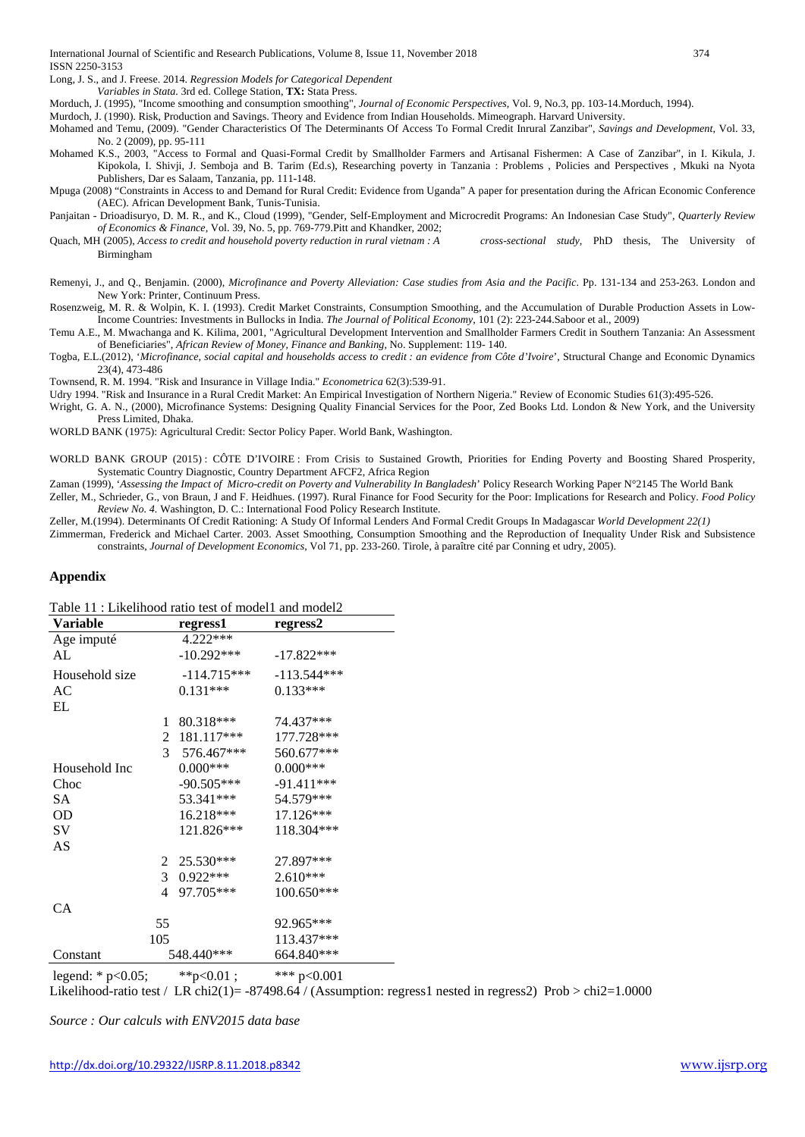Long, J. S., and J. Freese. 2014. *Regression Models for Categorical Dependent*

*Variables in Stata.* 3rd ed. College Station, **TX:** Stata Press.

Morduch, J. (1995), "Income smoothing and consumption smoothing", *Journal of Economic Perspectives*, Vol. 9, No.3, pp. 103-14.Morduch, 1994).

Murdoch, J. (1990). Risk, Production and Savings. Theory and Evidence from Indian Households. Mimeograph. Harvard University.

Mohamed and Temu, (2009). "Gender Characteristics Of The Determinants Of Access To Formal Credit Inrural Zanzibar", *Savings and Development*, Vol. 33, No. 2 (2009), pp. 95-111

- Mohamed K.S., 2003, "Access to Formal and Quasi-Formal Credit by Smallholder Farmers and Artisanal Fishermen: A Case of Zanzibar", in I. Kikula, J. Kipokola, I. Shivji, J. Semboja and B. Tarim (Ed.s), Researching poverty in Tanzania : Problems , Policies and Perspectives , Mkuki na Nyota Publishers, Dar es Salaam, Tanzania, pp. 111-148.
- Mpuga (2008) "Constraints in Access to and Demand for Rural Credit: Evidence from Uganda" A paper for presentation during the African Economic Conference (AEC). African Development Bank, Tunis-Tunisia.
- Panjaitan Drioadisuryo, D. M. R., and K., Cloud (1999), "Gender, Self-Employment and Microcredit Programs: An Indonesian Case Study", *Quarterly Review of Economics & Finance,* Vol. 39, No. 5, pp. 769-779.Pitt and Khandker, 2002;
- Quach, MH (2005), *Access to credit and household poverty reduction in rural vietnam : A cross-sectional study*, PhD thesis, The University of Birmingham

Remenyi, J., and Q., Benjamin. (2000), *Microfinance and Poverty Alleviation: Case studies from Asia and the Pacific*. Pp. 131-134 and 253-263. London and New York: Printer, Continuum Press.

Rosenzweig, M. R. & Wolpin, K. I. (1993). Credit Market Constraints, Consumption Smoothing, and the Accumulation of Durable Production Assets in Low-Income Countries: Investments in Bullocks in India. *The Journal of Political Economy*, 101 (2): 223-244.Saboor et al., 2009)

Temu A.E., M. Mwachanga and K. Kilima, 2001, "Agricultural Development Intervention and Smallholder Farmers Credit in Southern Tanzania: An Assessment of Beneficiaries", *African Review of Money, Finance and Banking*, No. Supplement: 119- 140.

Togba, E.L.(2012), '*Microfinance, social capital and households access to credit : an evidence from Côte d'Ivoire*', Structural Change and Economic Dynamics 23(4), 473-486

Townsend, R. M. 1994. "Risk and Insurance in Village India." *Econometrica* 62(3):539-91.

Udry 1994. "Risk and Insurance in a Rural Credit Market: An Empirical Investigation of Northern Nigeria." Review of Economic Studies 61(3):495-526.

Wright, G. A. N., (2000), Microfinance Systems: Designing Quality Financial Services for the Poor, Zed Books Ltd. London & New York, and the University Press Limited, Dhaka.

WORLD BANK (1975): Agricultural Credit: Sector Policy Paper. World Bank, Washington.

WORLD BANK GROUP (2015) : CÔTE D'IVOIRE : From Crisis to Sustained Growth, Priorities for Ending Poverty and Boosting Shared Prosperity, Systematic Country Diagnostic, Country Department AFCF2, Africa Region

Zaman (1999), '*Assessing the Impact of Micro-credit on Poverty and Vulnerability In Bangladesh*' Policy Research Working Paper N°2145 The World Bank

Zeller, M., Schrieder, G., von Braun, J and F. Heidhues. (1997). Rural Finance for Food Security for the Poor: Implications for Research and Policy. *Food Policy Review No. 4.* Washington, D. C.: International Food Policy Research Institute.

Zeller, M.(1994). Determinants Of Credit Rationing: A Study Of Informal Lenders And Formal Credit Groups In Madagascar *World Development 22(1)*

Zimmerman, Frederick and Michael Carter. 2003. Asset Smoothing, Consumption Smoothing and the Reproduction of Inequality Under Risk and Subsistence constraints, *Journal of Development Economics*, Vol 71, pp. 233-260. Tirole, à paraître cité par Conning et udry, 2005).

#### **Appendix**

| Table 11 : Likelihood ratio test of model1 and model2 |                 |               |  |  |  |  |  |  |  |  |
|-------------------------------------------------------|-----------------|---------------|--|--|--|--|--|--|--|--|
| <b>Variable</b>                                       | regress1        | regress2      |  |  |  |  |  |  |  |  |
| Age imputé                                            | 4.222***        |               |  |  |  |  |  |  |  |  |
| AL                                                    | $-10.292***$    | $-17.822***$  |  |  |  |  |  |  |  |  |
| Household size                                        | $-114.715***$   | $-113.544***$ |  |  |  |  |  |  |  |  |
| AC                                                    | $0.131***$      | $0.133***$    |  |  |  |  |  |  |  |  |
| EL                                                    |                 |               |  |  |  |  |  |  |  |  |
| 1                                                     | 80.318***       | 74.437***     |  |  |  |  |  |  |  |  |
| 2                                                     | 181.117***      | 177.728***    |  |  |  |  |  |  |  |  |
|                                                       | 3<br>576.467*** | 560.677***    |  |  |  |  |  |  |  |  |
| Household Inc                                         | $0.000***$      | $0.000***$    |  |  |  |  |  |  |  |  |
| Choc                                                  | $-90.505***$    | $-91.411***$  |  |  |  |  |  |  |  |  |
| SА                                                    | 53.341***       | 54.579***     |  |  |  |  |  |  |  |  |
| OD                                                    | 16.218***       | 17.126***     |  |  |  |  |  |  |  |  |
| SV                                                    | 121.826***      | 118.304***    |  |  |  |  |  |  |  |  |
| AS                                                    |                 |               |  |  |  |  |  |  |  |  |
| 2                                                     | 25.530***       | 27.897***     |  |  |  |  |  |  |  |  |
| 3 <sup>1</sup>                                        | $0.922***$      | 2.610***      |  |  |  |  |  |  |  |  |
| 4                                                     | 97.705***       | 100.650***    |  |  |  |  |  |  |  |  |
| <b>CA</b>                                             |                 |               |  |  |  |  |  |  |  |  |
| 55                                                    |                 | 92.965***     |  |  |  |  |  |  |  |  |
| 105                                                   |                 | 113.437***    |  |  |  |  |  |  |  |  |
| Constant                                              | 548.440***      | 664.840***    |  |  |  |  |  |  |  |  |
| legend: $*$ p<0.05;                                   | **p<0.01;       | *** $p<0.001$ |  |  |  |  |  |  |  |  |

Likelihood-ratio test / LR chi2(1)=  $-87498.64$  / (Assumption: regress1 nested in regress2) Prob > chi2=1.0000

*Source : Our calculs with ENV2015 data base*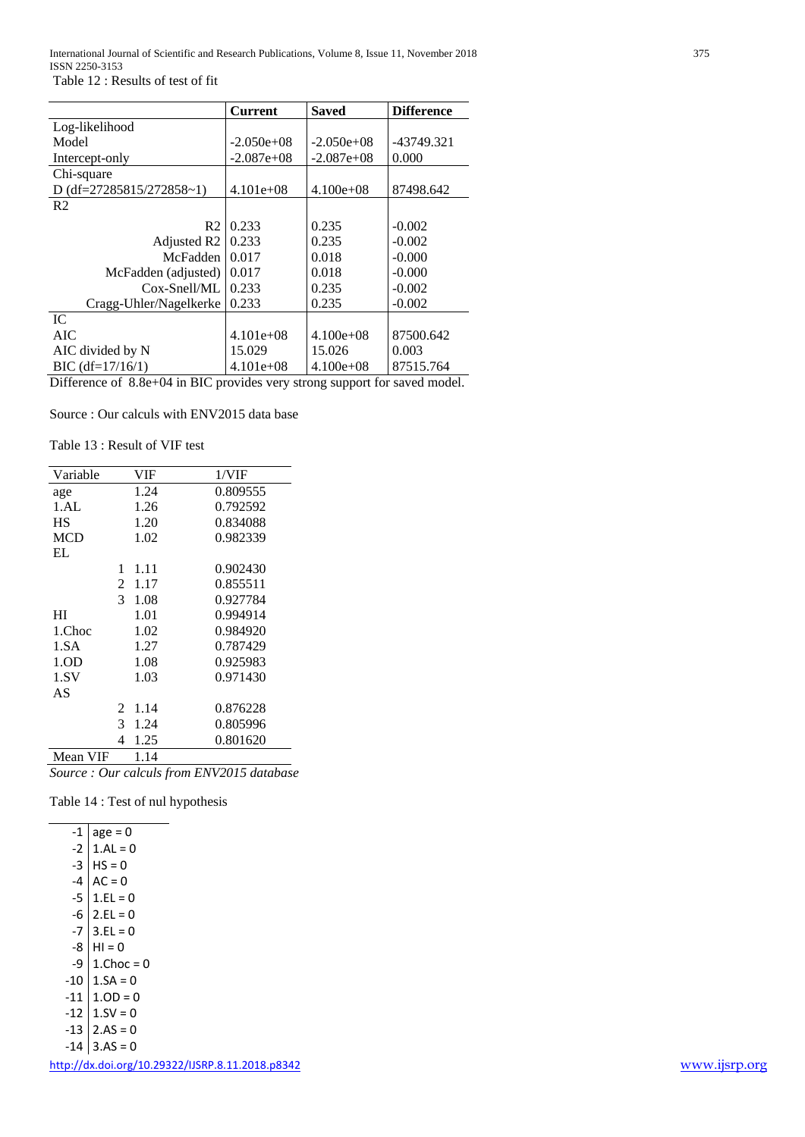|                          | <b>Current</b> | <b>Saved</b>  | <b>Difference</b> |
|--------------------------|----------------|---------------|-------------------|
| Log-likelihood           |                |               |                   |
| Model                    | $-2.050e+08$   | $-2.050e+08$  | -43749.321        |
| Intercept-only           | $-2.087e+08$   | $-2.087e+08$  | 0.000             |
| Chi-square               |                |               |                   |
| D (df=27285815/272858~1) | $4.101e+08$    | $4.100e + 08$ | 87498.642         |
| R <sub>2</sub>           |                |               |                   |
| R <sub>2</sub>           | 0.233          | 0.235         | $-0.002$          |
| Adjusted R2              | 0.233          | 0.235         | $-0.002$          |
| McFadden                 | 0.017          | 0.018         | $-0.000$          |
| McFadden (adjusted)      | 0.017          | 0.018         | $-0.000$          |
| $Cox-Snel1/ML$           | 0.233          | 0.235         | $-0.002$          |
| Cragg-Uhler/Nagelkerke   | 0.233          | 0.235         | $-0.002$          |
| IC.                      |                |               |                   |
| AIC.                     | $4.101e+08$    | $4.100e+08$   | 87500.642         |
| AIC divided by N         | 15.029         | 15.026        | 0.003             |
| $BIC$ (df= $17/16/1$ )   | $4.101e+08$    | $4.100e + 08$ | 87515.764         |

Difference of 8.8e+04 in BIC provides very strong support for saved model.

Source : Our calculs with ENV2015 data base

Table 13 : Result of VIF test

| Variable         |                | VIF  | 1/VIF    |
|------------------|----------------|------|----------|
| age              |                | 1.24 | 0.809555 |
| 1.AL             |                | 1.26 | 0.792592 |
| НS               |                | 1.20 | 0.834088 |
| <b>MCD</b>       |                | 1.02 | 0.982339 |
| EL               |                |      |          |
|                  | 1              | 1.11 | 0.902430 |
|                  | $\overline{2}$ | 1.17 | 0.855511 |
|                  | $\mathcal{E}$  | 1.08 | 0.927784 |
| HІ               |                | 1.01 | 0.994914 |
| 1.Choc           |                | 1.02 | 0.984920 |
| 1.SA             |                | 1.27 | 0.787429 |
| 1.0 <sub>D</sub> |                | 1.08 | 0.925983 |
| 1.SV             |                | 1.03 | 0.971430 |
| AS               |                |      |          |
|                  | 2              | 1.14 | 0.876228 |
|                  | 3              | 1.24 | 0.805996 |
|                  | 4              | 1.25 | 0.801620 |
| Mean VIF         |                | 1.14 |          |

*Source : Our calculs from ENV2015 database*

Table 14 : Test of nul hypothesis

| -1    | $age = 0$     |
|-------|---------------|
| -2    | $1.AL = 0$    |
| -3    | $HS = 0$      |
| -4    | $AC = 0$      |
| -5    | $1.FL = 0$    |
| -6    | $2.EL = 0$    |
| $-7$  | $3.EL = 0$    |
| -8    | $H1 = 0$      |
| -9    | $1$ .Choc = 0 |
| $-10$ | $1.SA = 0$    |
| -11   | $1.0D = 0$    |
| $-12$ | $1.5V = 0$    |
| -13   | $2.AS = 0$    |
| -14   | $3.AS = 0$    |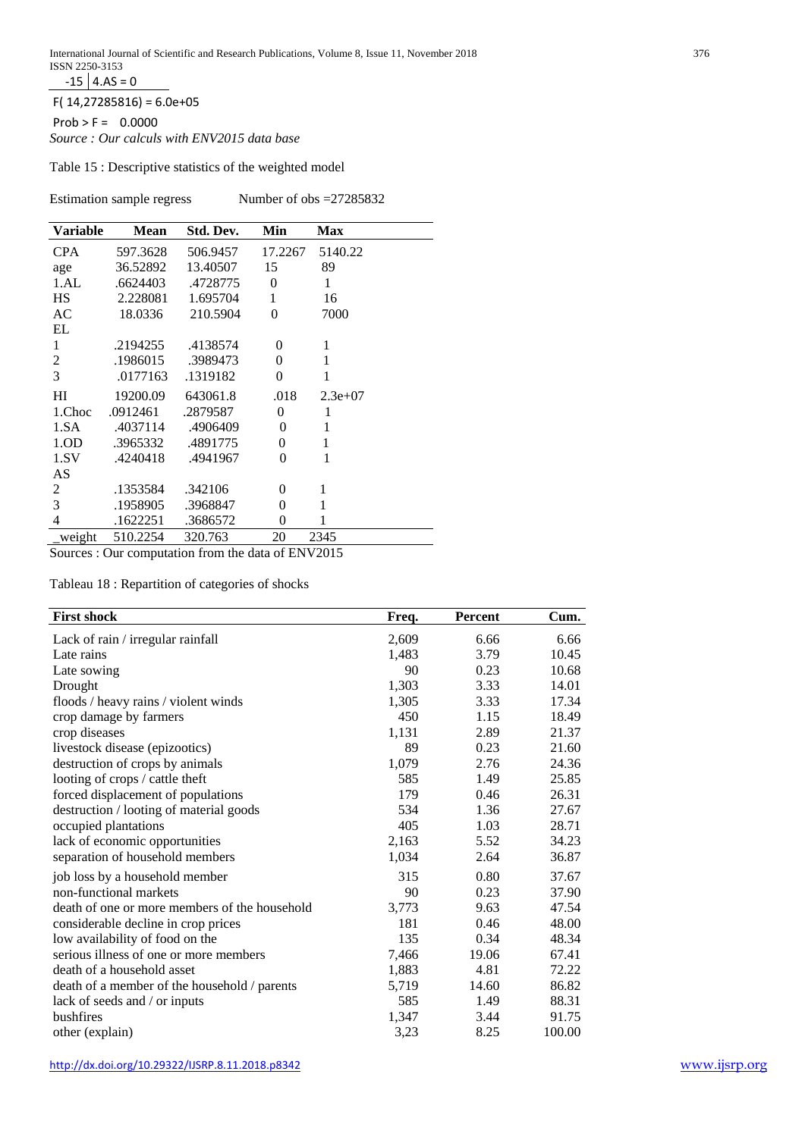$-15$  4.AS = 0

 $F( 14, 27285816) = 6.0e+05$ 

 $Prob > F = 0.0000$ 

*Source : Our calculs with ENV2015 data base*

Table 15 : Descriptive statistics of the weighted model

Estimation sample regress Number of obs = 27285832

| <b>Variable</b>          | <b>Mean</b> | Std. Dev. | Min            | <b>Max</b>   |
|--------------------------|-------------|-----------|----------------|--------------|
|                          |             |           |                |              |
| <b>CPA</b>               | 597.3628    | 506.9457  | 17.2267        | 5140.22      |
| age                      | 36.52892    | 13.40507  | 15             | 89           |
| 1.AL                     | .6624403    | .4728775  | $\theta$       | 1            |
| <b>HS</b>                | 2.228081    | 1.695704  | 1              | 16           |
| AC                       | 18.0336     | 210.5904  | $\overline{0}$ | 7000         |
| EL                       |             |           |                |              |
| 1                        | .2194255    | .4138574  | $\Omega$       | 1            |
| $\overline{c}$           | .1986015    | .3989473  | 0              | 1            |
| 3                        | .0177163    | .1319182  | $\theta$       | 1            |
| HI                       | 19200.09    | 643061.8  | .018           | $2.3e+07$    |
| 1.Choc                   | .0912461    | .2879587  | $\overline{0}$ | $\mathbf{1}$ |
| 1.SA                     | .4037114    | .4906409  | $\theta$       | 1            |
| 1.OD                     | .3965332    | .4891775  | $\theta$       | $\mathbf{1}$ |
| 1.SV                     | .4240418    | .4941967  | $\Omega$       | 1            |
| AS                       |             |           |                |              |
| 2                        | .1353584    | .342106   | $\theta$       | 1            |
| 3                        | .1958905    | .3968847  | $\theta$       | 1            |
| $\overline{\mathcal{L}}$ | .1622251    | .3686572  | 0              | 1            |
| weight                   | 510.2254    | 320.763   | 20             | 2345         |

Sources : Our computation from the data of ENV2015

Tableau 18 : Repartition of categories of shocks

| <b>First shock</b>                            | Freq. | <b>Percent</b> | Cum.   |
|-----------------------------------------------|-------|----------------|--------|
| Lack of rain / irregular rainfall             | 2,609 | 6.66           | 6.66   |
| Late rains                                    | 1,483 | 3.79           | 10.45  |
| Late sowing                                   | 90    | 0.23           | 10.68  |
| Drought                                       | 1,303 | 3.33           | 14.01  |
| floods / heavy rains / violent winds          | 1,305 | 3.33           | 17.34  |
| crop damage by farmers                        | 450   | 1.15           | 18.49  |
| crop diseases                                 | 1,131 | 2.89           | 21.37  |
| livestock disease (epizootics)                | 89    | 0.23           | 21.60  |
| destruction of crops by animals               | 1,079 | 2.76           | 24.36  |
| looting of crops / cattle theft               | 585   | 1.49           | 25.85  |
| forced displacement of populations            | 179   | 0.46           | 26.31  |
| destruction / looting of material goods       | 534   | 1.36           | 27.67  |
| occupied plantations                          | 405   | 1.03           | 28.71  |
| lack of economic opportunities                | 2,163 | 5.52           | 34.23  |
| separation of household members               | 1,034 | 2.64           | 36.87  |
| job loss by a household member                | 315   | 0.80           | 37.67  |
| non-functional markets                        | 90    | 0.23           | 37.90  |
| death of one or more members of the household | 3,773 | 9.63           | 47.54  |
| considerable decline in crop prices           | 181   | 0.46           | 48.00  |
| low availability of food on the               | 135   | 0.34           | 48.34  |
| serious illness of one or more members        | 7,466 | 19.06          | 67.41  |
| death of a household asset                    | 1,883 | 4.81           | 72.22  |
| death of a member of the household / parents  | 5,719 | 14.60          | 86.82  |
| lack of seeds and / or inputs                 | 585   | 1.49           | 88.31  |
| bushfires                                     | 1,347 | 3.44           | 91.75  |
| other (explain)                               | 3,23  | 8.25           | 100.00 |